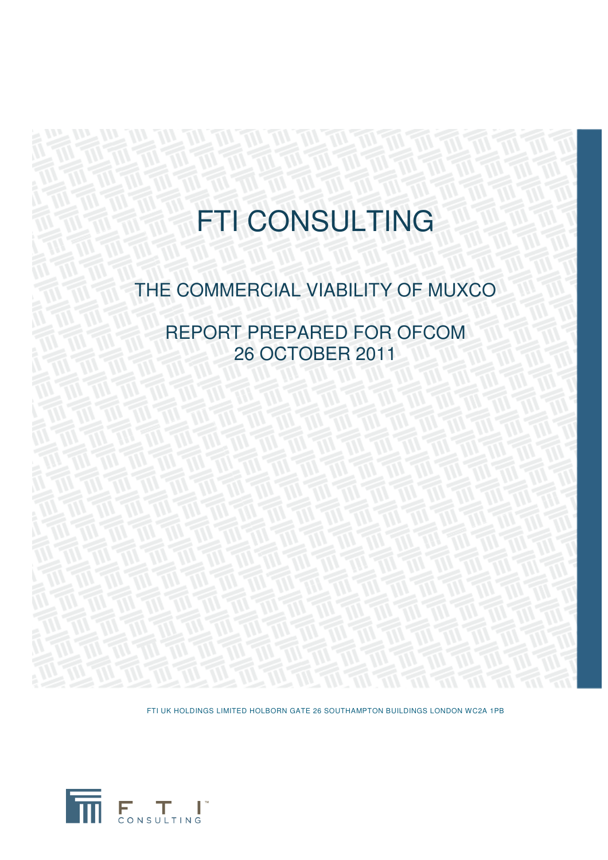# FTI CONSULTING

# THE COMMERCIAL VIABILITY OF MUXCO

REPORT PREPARED FOR OFCOM 26 OCTOBER 2011

FTI UK HOLDINGS LIMITED HOLBORN GATE 26 SOUTHAMPTON BUILDINGS LONDON WC2A 1PB

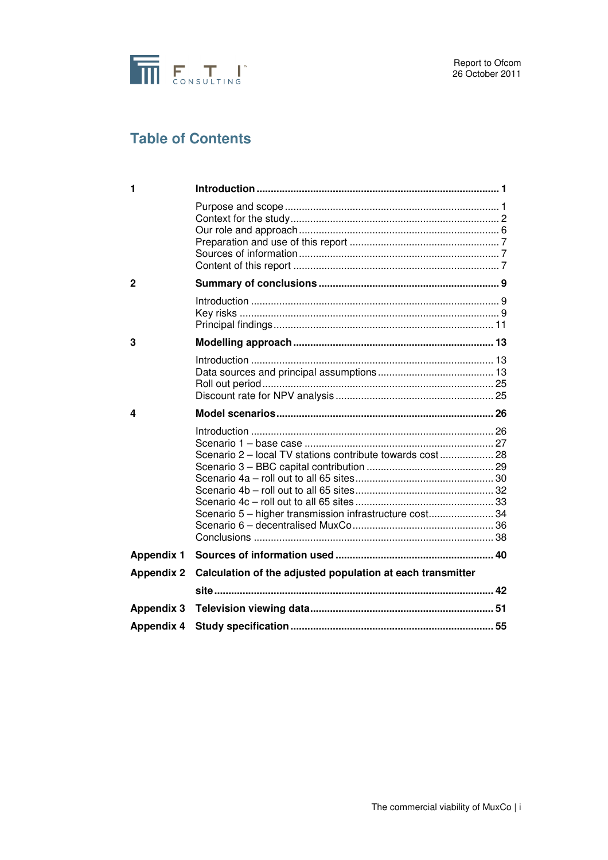

# **Table of Contents**

| 1                 |                                                                                                                       |  |
|-------------------|-----------------------------------------------------------------------------------------------------------------------|--|
|                   |                                                                                                                       |  |
| $\mathbf{2}$      |                                                                                                                       |  |
|                   |                                                                                                                       |  |
| 3                 |                                                                                                                       |  |
|                   |                                                                                                                       |  |
|                   |                                                                                                                       |  |
| 4                 |                                                                                                                       |  |
|                   | Scenario 2 - local TV stations contribute towards cost  28<br>Scenario 5 - higher transmission infrastructure cost 34 |  |
| <b>Appendix 1</b> |                                                                                                                       |  |
| <b>Appendix 2</b> | Calculation of the adjusted population at each transmitter                                                            |  |
|                   |                                                                                                                       |  |
| <b>Appendix 3</b> |                                                                                                                       |  |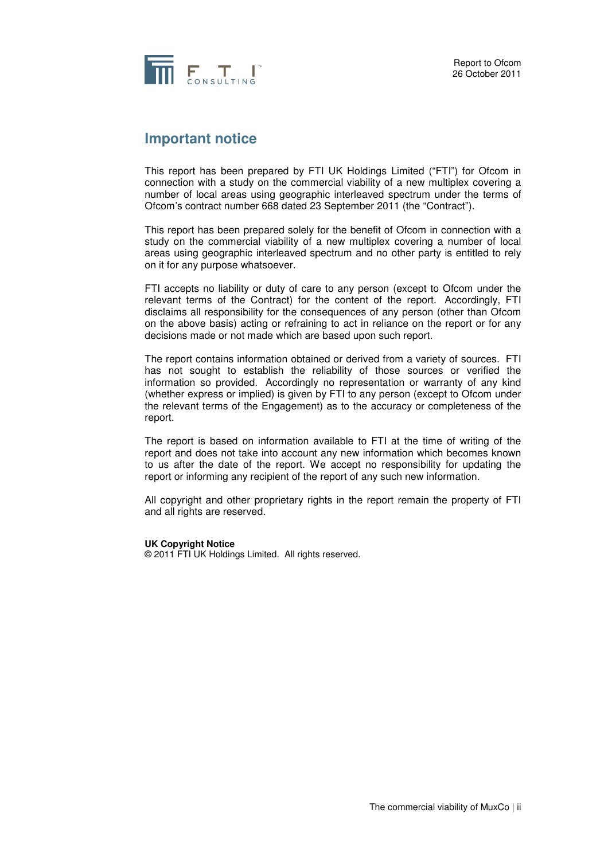

# **Important notice**

This report has been prepared by FTI UK Holdings Limited ("FTI") for Ofcom in connection with a study on the commercial viability of a new multiplex covering a number of local areas using geographic interleaved spectrum under the terms of Ofcom's contract number 668 dated 23 September 2011 (the "Contract").

This report has been prepared solely for the benefit of Ofcom in connection with a study on the commercial viability of a new multiplex covering a number of local areas using geographic interleaved spectrum and no other party is entitled to rely on it for any purpose whatsoever.

FTI accepts no liability or duty of care to any person (except to Ofcom under the relevant terms of the Contract) for the content of the report. Accordingly, FTI disclaims all responsibility for the consequences of any person (other than Ofcom on the above basis) acting or refraining to act in reliance on the report or for any decisions made or not made which are based upon such report.

The report contains information obtained or derived from a variety of sources. FTI has not sought to establish the reliability of those sources or verified the information so provided. Accordingly no representation or warranty of any kind (whether express or implied) is given by FTI to any person (except to Ofcom under the relevant terms of the Engagement) as to the accuracy or completeness of the report.

The report is based on information available to FTI at the time of writing of the report and does not take into account any new information which becomes known to us after the date of the report. We accept no responsibility for updating the report or informing any recipient of the report of any such new information.

All copyright and other proprietary rights in the report remain the property of FTI and all rights are reserved.

#### **UK Copyright Notice**

© 2011 FTI UK Holdings Limited. All rights reserved.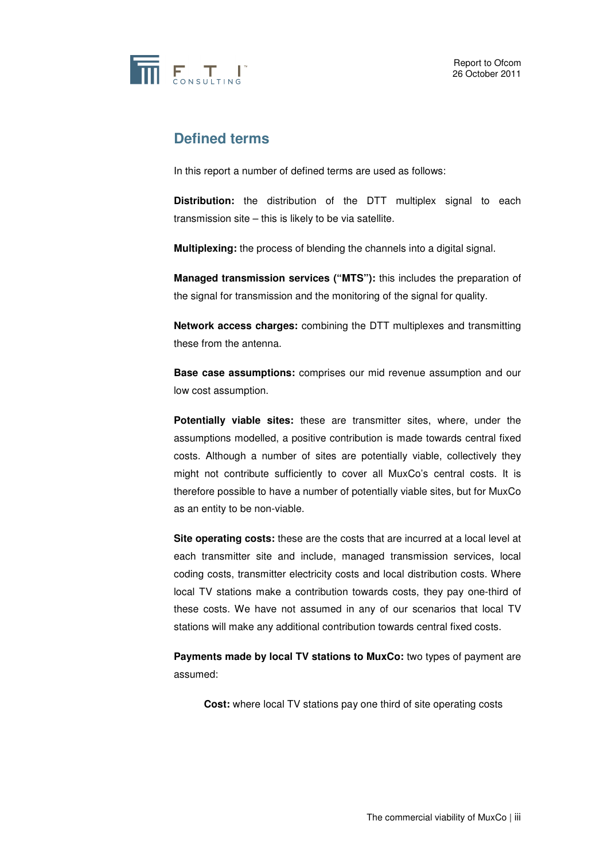

# **Defined terms**

In this report a number of defined terms are used as follows:

**Distribution:** the distribution of the DTT multiplex signal to each transmission site – this is likely to be via satellite.

**Multiplexing:** the process of blending the channels into a digital signal.

**Managed transmission services ("MTS"):** this includes the preparation of the signal for transmission and the monitoring of the signal for quality.

**Network access charges:** combining the DTT multiplexes and transmitting these from the antenna.

**Base case assumptions:** comprises our mid revenue assumption and our low cost assumption.

**Potentially viable sites:** these are transmitter sites, where, under the assumptions modelled, a positive contribution is made towards central fixed costs. Although a number of sites are potentially viable, collectively they might not contribute sufficiently to cover all MuxCo's central costs. It is therefore possible to have a number of potentially viable sites, but for MuxCo as an entity to be non-viable.

**Site operating costs:** these are the costs that are incurred at a local level at each transmitter site and include, managed transmission services, local coding costs, transmitter electricity costs and local distribution costs. Where local TV stations make a contribution towards costs, they pay one-third of these costs. We have not assumed in any of our scenarios that local TV stations will make any additional contribution towards central fixed costs.

**Payments made by local TV stations to MuxCo:** two types of payment are assumed:

**Cost:** where local TV stations pay one third of site operating costs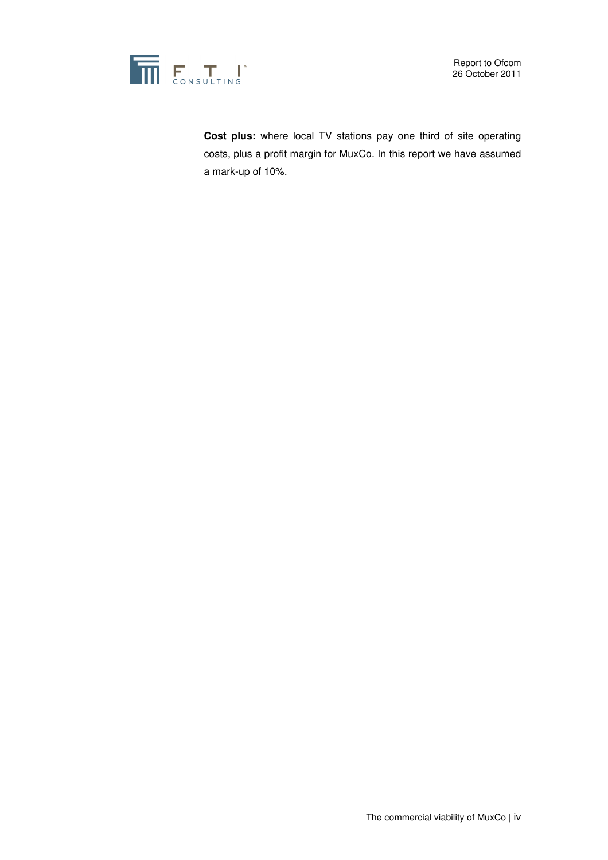

**Cost plus:** where local TV stations pay one third of site operating costs, plus a profit margin for MuxCo. In this report we have assumed a mark-up of 10%.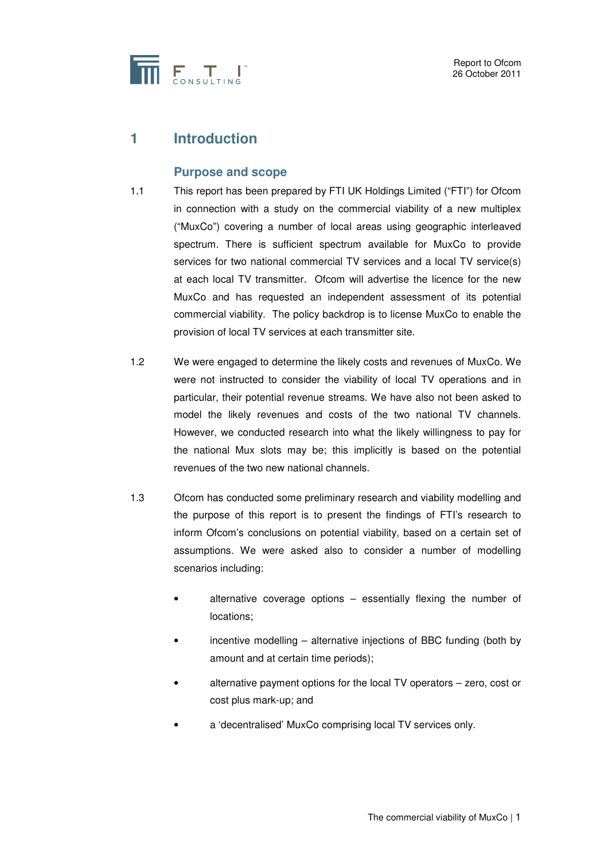

# **1 Introduction**

# **Purpose and scope**

- 1.1 This report has been prepared by FTI UK Holdings Limited ("FTI") for Ofcom in connection with a study on the commercial viability of a new multiplex ("MuxCo") covering a number of local areas using geographic interleaved spectrum. There is sufficient spectrum available for MuxCo to provide services for two national commercial TV services and a local TV service(s) at each local TV transmitter. Ofcom will advertise the licence for the new MuxCo and has requested an independent assessment of its potential commercial viability. The policy backdrop is to license MuxCo to enable the provision of local TV services at each transmitter site.
- 1.2 We were engaged to determine the likely costs and revenues of MuxCo. We were not instructed to consider the viability of local TV operations and in particular, their potential revenue streams. We have also not been asked to model the likely revenues and costs of the two national TV channels. However, we conducted research into what the likely willingness to pay for the national Mux slots may be; this implicitly is based on the potential revenues of the two new national channels.
- 1.3 Ofcom has conducted some preliminary research and viability modelling and the purpose of this report is to present the findings of FTI's research to inform Ofcom's conclusions on potential viability, based on a certain set of assumptions. We were asked also to consider a number of modelling scenarios including:
	- alternative coverage options essentially flexing the number of locations;
	- incentive modelling  $-$  alternative injections of BBC funding (both by amount and at certain time periods);
	- alternative payment options for the local TV operators zero, cost or cost plus mark-up; and
	- a 'decentralised' MuxCo comprising local TV services only.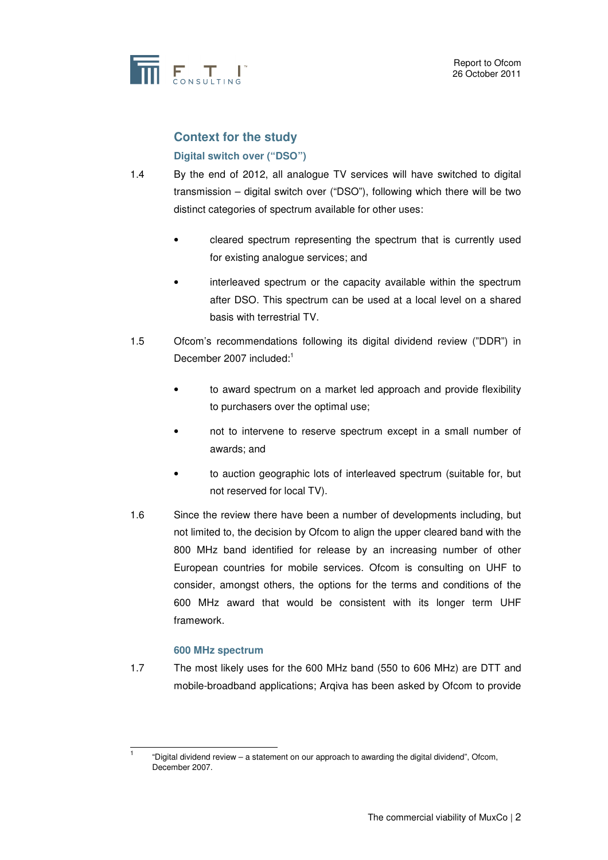

# **Context for the study**

# **Digital switch over ("DSO")**

- 1.4 By the end of 2012, all analogue TV services will have switched to digital transmission – digital switch over ("DSO"), following which there will be two distinct categories of spectrum available for other uses:
	- cleared spectrum representing the spectrum that is currently used for existing analogue services; and
	- interleaved spectrum or the capacity available within the spectrum after DSO. This spectrum can be used at a local level on a shared basis with terrestrial TV.
- 1.5 Ofcom's recommendations following its digital dividend review ("DDR") in December 2007 included:<sup>1</sup>
	- to award spectrum on a market led approach and provide flexibility to purchasers over the optimal use;
	- not to intervene to reserve spectrum except in a small number of awards; and
	- to auction geographic lots of interleaved spectrum (suitable for, but not reserved for local TV).
- 1.6 Since the review there have been a number of developments including, but not limited to, the decision by Ofcom to align the upper cleared band with the 800 MHz band identified for release by an increasing number of other European countries for mobile services. Ofcom is consulting on UHF to consider, amongst others, the options for the terms and conditions of the 600 MHz award that would be consistent with its longer term UHF framework.

### **600 MHz spectrum**

1.7 The most likely uses for the 600 MHz band (550 to 606 MHz) are DTT and mobile-broadband applications; Arqiva has been asked by Ofcom to provide

<sup>|&</sup>lt;br>1 "Digital dividend review – a statement on our approach to awarding the digital dividend", Ofcom, December 2007.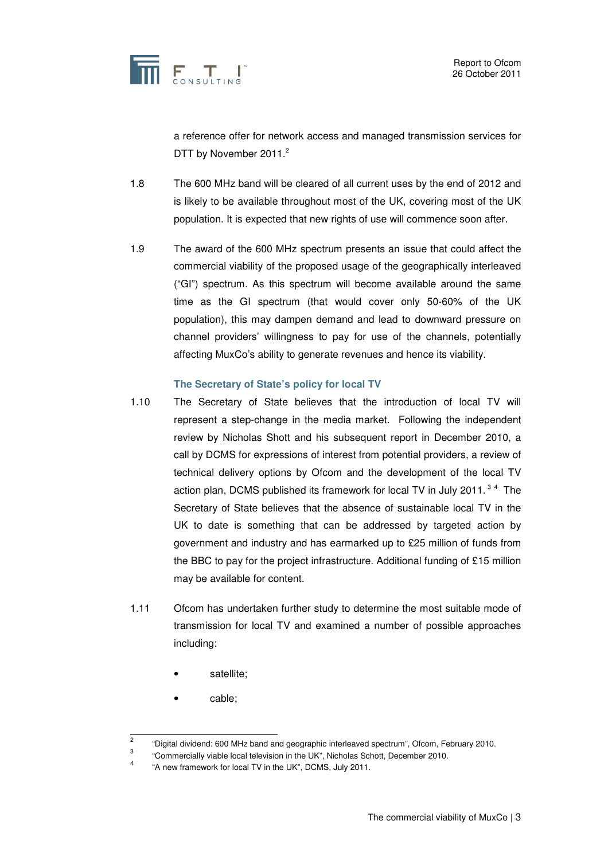

a reference offer for network access and managed transmission services for DTT by November 2011.<sup>2</sup>

- 1.8 The 600 MHz band will be cleared of all current uses by the end of 2012 and is likely to be available throughout most of the UK, covering most of the UK population. It is expected that new rights of use will commence soon after.
- 1.9 The award of the 600 MHz spectrum presents an issue that could affect the commercial viability of the proposed usage of the geographically interleaved ("GI") spectrum. As this spectrum will become available around the same time as the GI spectrum (that would cover only 50-60% of the UK population), this may dampen demand and lead to downward pressure on channel providers' willingness to pay for use of the channels, potentially affecting MuxCo's ability to generate revenues and hence its viability.

#### **The Secretary of State's policy for local TV**

- 1.10 The Secretary of State believes that the introduction of local TV will represent a step-change in the media market. Following the independent review by Nicholas Shott and his subsequent report in December 2010, a call by DCMS for expressions of interest from potential providers, a review of technical delivery options by Ofcom and the development of the local TV action plan, DCMS published its framework for local TV in July 2011.<sup>34</sup> The Secretary of State believes that the absence of sustainable local TV in the UK to date is something that can be addressed by targeted action by government and industry and has earmarked up to £25 million of funds from the BBC to pay for the project infrastructure. Additional funding of £15 million may be available for content.
- 1.11 Ofcom has undertaken further study to determine the most suitable mode of transmission for local TV and examined a number of possible approaches including:
	- satellite;
	- cable;

<sup>&</sup>lt;sup>2</sup> "Digital dividend: 600 MHz band and geographic interleaved spectrum", Ofcom, February 2010. 3

 <sup>&</sup>quot;Commercially viable local television in the UK", Nicholas Schott, December 2010.

<sup>4</sup> "A new framework for local TV in the UK", DCMS, July 2011.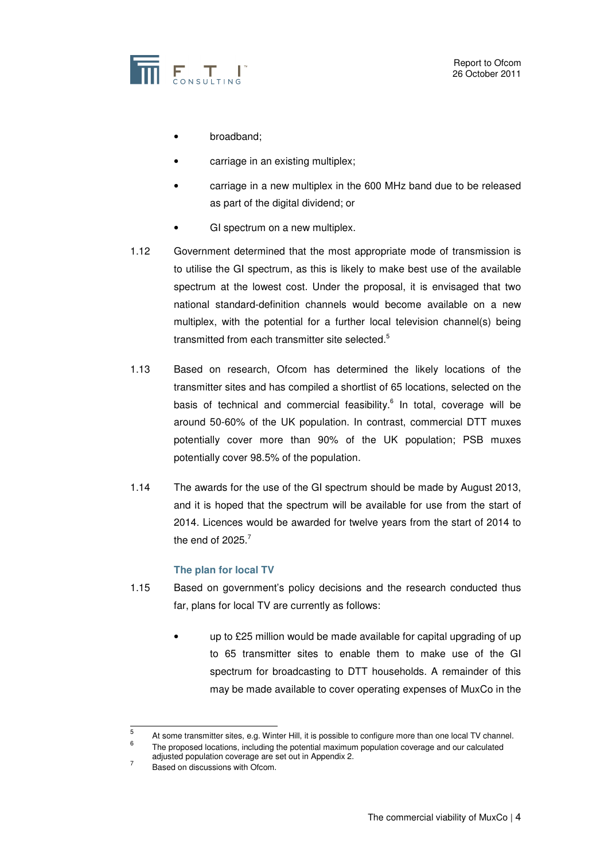

- broadband;
- carriage in an existing multiplex;
- carriage in a new multiplex in the 600 MHz band due to be released as part of the digital dividend; or
- GI spectrum on a new multiplex.
- 1.12 Government determined that the most appropriate mode of transmission is to utilise the GI spectrum, as this is likely to make best use of the available spectrum at the lowest cost. Under the proposal, it is envisaged that two national standard-definition channels would become available on a new multiplex, with the potential for a further local television channel(s) being transmitted from each transmitter site selected.<sup>5</sup>
- 1.13 Based on research, Ofcom has determined the likely locations of the transmitter sites and has compiled a shortlist of 65 locations, selected on the basis of technical and commercial feasibility.<sup>6</sup> In total, coverage will be around 50-60% of the UK population. In contrast, commercial DTT muxes potentially cover more than 90% of the UK population; PSB muxes potentially cover 98.5% of the population.
- 1.14 The awards for the use of the GI spectrum should be made by August 2013, and it is hoped that the spectrum will be available for use from the start of 2014. Licences would be awarded for twelve years from the start of 2014 to the end of  $2025$ .<sup>7</sup>

#### **The plan for local TV**

- 1.15 Based on government's policy decisions and the research conducted thus far, plans for local TV are currently as follows:
	- up to £25 million would be made available for capital upgrading of up to 65 transmitter sites to enable them to make use of the GI spectrum for broadcasting to DTT households. A remainder of this may be made available to cover operating expenses of MuxCo in the

 5 At some transmitter sites, e.g. Winter Hill, it is possible to configure more than one local TV channel. 6 The proposed locations, including the potential maximum population coverage and our calculated

adjusted population coverage are set out in Appendix 2. 7

Based on discussions with Ofcom.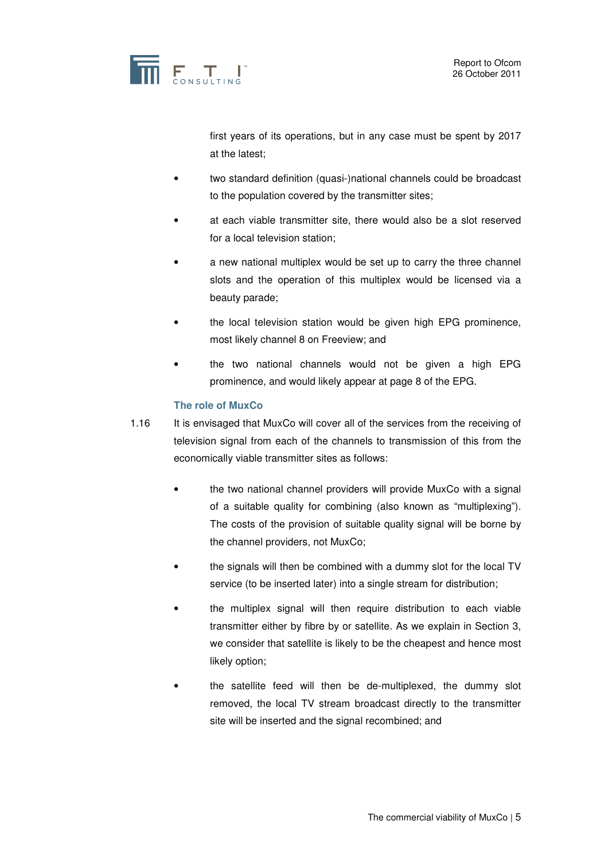

first years of its operations, but in any case must be spent by 2017 at the latest;

- two standard definition (quasi-)national channels could be broadcast to the population covered by the transmitter sites;
- at each viable transmitter site, there would also be a slot reserved for a local television station;
- a new national multiplex would be set up to carry the three channel slots and the operation of this multiplex would be licensed via a beauty parade;
- the local television station would be given high EPG prominence, most likely channel 8 on Freeview; and
- the two national channels would not be given a high EPG prominence, and would likely appear at page 8 of the EPG.

### **The role of MuxCo**

- 1.16 It is envisaged that MuxCo will cover all of the services from the receiving of television signal from each of the channels to transmission of this from the economically viable transmitter sites as follows:
	- the two national channel providers will provide MuxCo with a signal of a suitable quality for combining (also known as "multiplexing"). The costs of the provision of suitable quality signal will be borne by the channel providers, not MuxCo;
	- the signals will then be combined with a dummy slot for the local TV service (to be inserted later) into a single stream for distribution;
	- the multiplex signal will then require distribution to each viable transmitter either by fibre by or satellite. As we explain in Section 3, we consider that satellite is likely to be the cheapest and hence most likely option;
	- the satellite feed will then be de-multiplexed, the dummy slot removed, the local TV stream broadcast directly to the transmitter site will be inserted and the signal recombined; and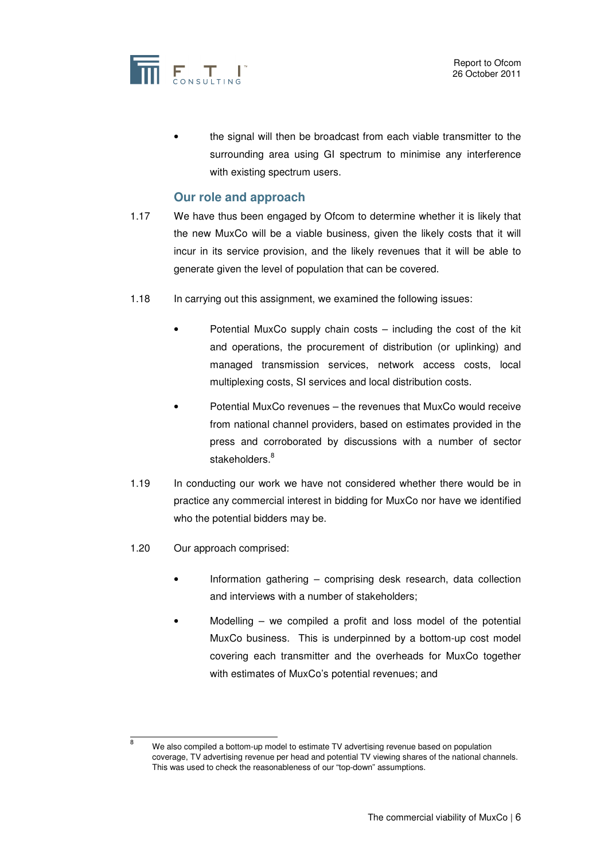

• the signal will then be broadcast from each viable transmitter to the surrounding area using GI spectrum to minimise any interference with existing spectrum users.

# **Our role and approach**

- 1.17 We have thus been engaged by Ofcom to determine whether it is likely that the new MuxCo will be a viable business, given the likely costs that it will incur in its service provision, and the likely revenues that it will be able to generate given the level of population that can be covered.
- 1.18 In carrying out this assignment, we examined the following issues:
	- Potential MuxCo supply chain costs including the cost of the kit and operations, the procurement of distribution (or uplinking) and managed transmission services, network access costs, local multiplexing costs, SI services and local distribution costs.
	- Potential MuxCo revenues the revenues that MuxCo would receive from national channel providers, based on estimates provided in the press and corroborated by discussions with a number of sector stakeholders.<sup>8</sup>
- 1.19 In conducting our work we have not considered whether there would be in practice any commercial interest in bidding for MuxCo nor have we identified who the potential bidders may be.
- 1.20 Our approach comprised:
	- Information gathering comprising desk research, data collection and interviews with a number of stakeholders;
	- Modelling  $-$  we compiled a profit and loss model of the potential MuxCo business. This is underpinned by a bottom-up cost model covering each transmitter and the overheads for MuxCo together with estimates of MuxCo's potential revenues; and

 8 We also compiled a bottom-up model to estimate TV advertising revenue based on population coverage, TV advertising revenue per head and potential TV viewing shares of the national channels. This was used to check the reasonableness of our "top-down" assumptions.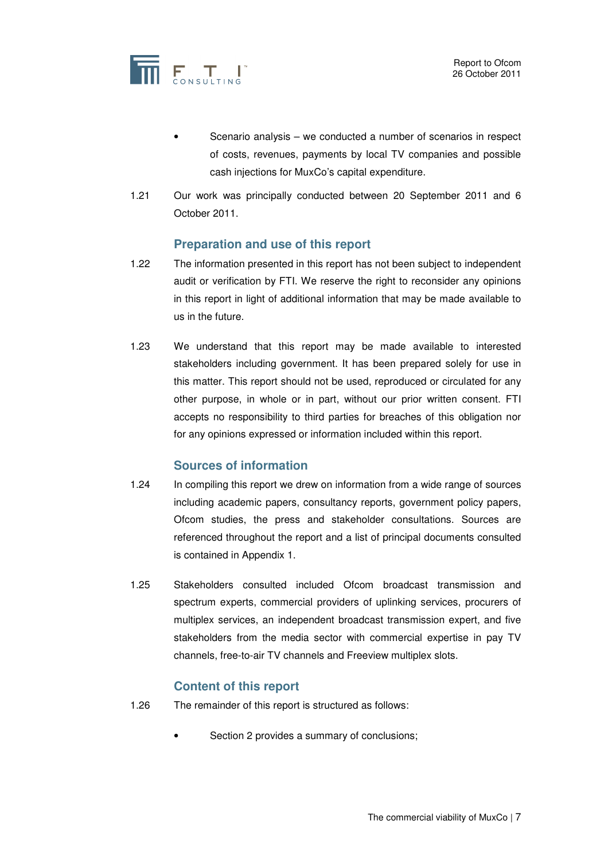

- Scenario analysis we conducted a number of scenarios in respect of costs, revenues, payments by local TV companies and possible cash injections for MuxCo's capital expenditure.
- 1.21 Our work was principally conducted between 20 September 2011 and 6 October 2011.

### **Preparation and use of this report**

- 1.22 The information presented in this report has not been subject to independent audit or verification by FTI. We reserve the right to reconsider any opinions in this report in light of additional information that may be made available to us in the future.
- 1.23 We understand that this report may be made available to interested stakeholders including government. It has been prepared solely for use in this matter. This report should not be used, reproduced or circulated for any other purpose, in whole or in part, without our prior written consent. FTI accepts no responsibility to third parties for breaches of this obligation nor for any opinions expressed or information included within this report.

### **Sources of information**

- 1.24 In compiling this report we drew on information from a wide range of sources including academic papers, consultancy reports, government policy papers, Ofcom studies, the press and stakeholder consultations. Sources are referenced throughout the report and a list of principal documents consulted is contained in Appendix 1.
- 1.25 Stakeholders consulted included Ofcom broadcast transmission and spectrum experts, commercial providers of uplinking services, procurers of multiplex services, an independent broadcast transmission expert, and five stakeholders from the media sector with commercial expertise in pay TV channels, free-to-air TV channels and Freeview multiplex slots.

# **Content of this report**

- 1.26 The remainder of this report is structured as follows:
	- Section 2 provides a summary of conclusions;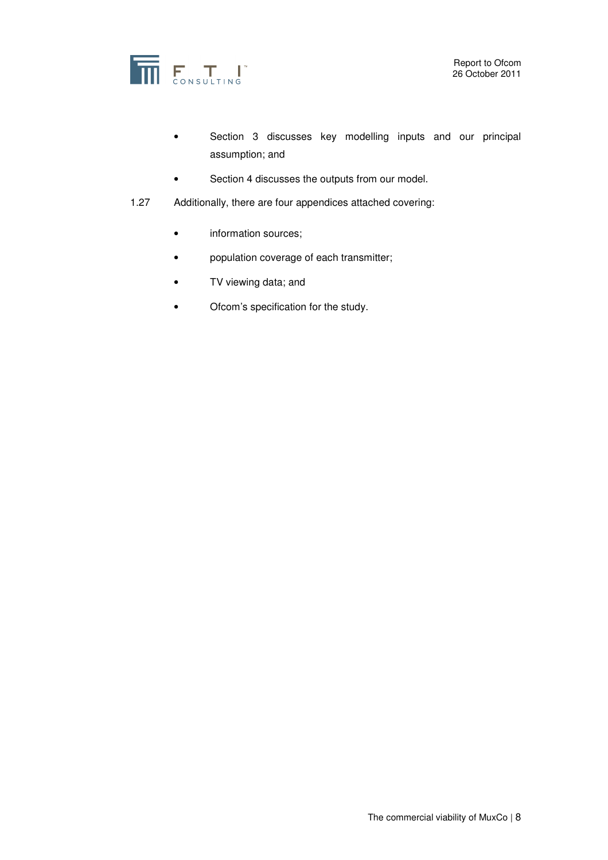

- Section 3 discusses key modelling inputs and our principal assumption; and
- Section 4 discusses the outputs from our model.
- 1.27 Additionally, there are four appendices attached covering:
	- information sources;
	- population coverage of each transmitter;
	- TV viewing data; and
	- Ofcom's specification for the study.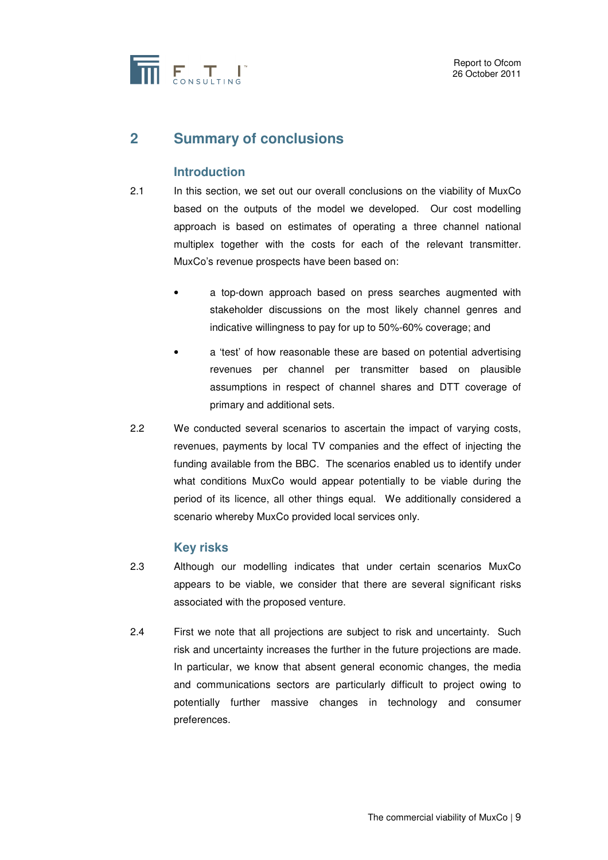

# **2 Summary of conclusions**

### **Introduction**

- 2.1 In this section, we set out our overall conclusions on the viability of MuxCo based on the outputs of the model we developed. Our cost modelling approach is based on estimates of operating a three channel national multiplex together with the costs for each of the relevant transmitter. MuxCo's revenue prospects have been based on:
	- a top-down approach based on press searches augmented with stakeholder discussions on the most likely channel genres and indicative willingness to pay for up to 50%-60% coverage; and
	- a 'test' of how reasonable these are based on potential advertising revenues per channel per transmitter based on plausible assumptions in respect of channel shares and DTT coverage of primary and additional sets.
- 2.2 We conducted several scenarios to ascertain the impact of varying costs, revenues, payments by local TV companies and the effect of injecting the funding available from the BBC. The scenarios enabled us to identify under what conditions MuxCo would appear potentially to be viable during the period of its licence, all other things equal. We additionally considered a scenario whereby MuxCo provided local services only.

### **Key risks**

- 2.3 Although our modelling indicates that under certain scenarios MuxCo appears to be viable, we consider that there are several significant risks associated with the proposed venture.
- 2.4 First we note that all projections are subject to risk and uncertainty. Such risk and uncertainty increases the further in the future projections are made. In particular, we know that absent general economic changes, the media and communications sectors are particularly difficult to project owing to potentially further massive changes in technology and consumer preferences.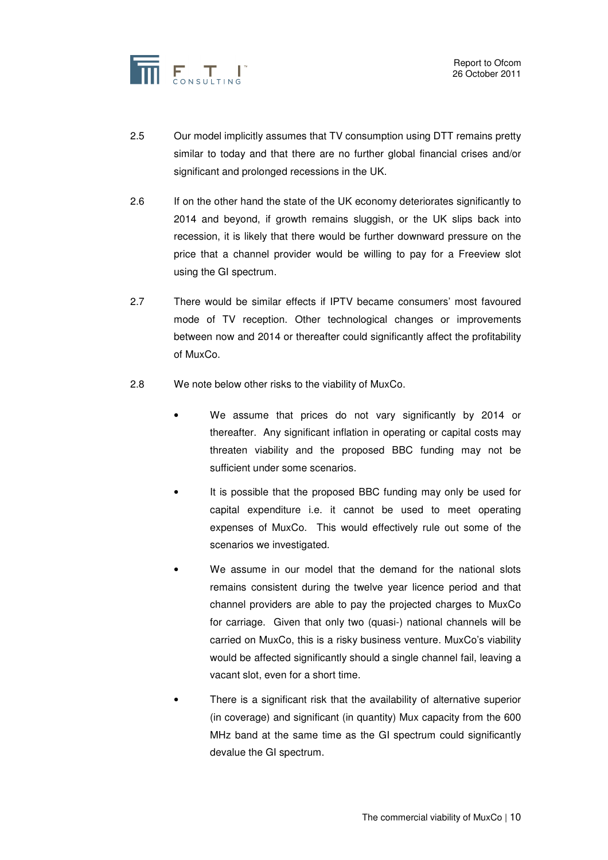

- 2.5 Our model implicitly assumes that TV consumption using DTT remains pretty similar to today and that there are no further global financial crises and/or significant and prolonged recessions in the UK.
- 2.6 If on the other hand the state of the UK economy deteriorates significantly to 2014 and beyond, if growth remains sluggish, or the UK slips back into recession, it is likely that there would be further downward pressure on the price that a channel provider would be willing to pay for a Freeview slot using the GI spectrum.
- 2.7 There would be similar effects if IPTV became consumers' most favoured mode of TV reception. Other technological changes or improvements between now and 2014 or thereafter could significantly affect the profitability of MuxCo.
- 2.8 We note below other risks to the viability of MuxCo.
	- We assume that prices do not vary significantly by 2014 or thereafter. Any significant inflation in operating or capital costs may threaten viability and the proposed BBC funding may not be sufficient under some scenarios.
	- It is possible that the proposed BBC funding may only be used for capital expenditure i.e. it cannot be used to meet operating expenses of MuxCo. This would effectively rule out some of the scenarios we investigated.
	- We assume in our model that the demand for the national slots remains consistent during the twelve year licence period and that channel providers are able to pay the projected charges to MuxCo for carriage. Given that only two (quasi-) national channels will be carried on MuxCo, this is a risky business venture. MuxCo's viability would be affected significantly should a single channel fail, leaving a vacant slot, even for a short time.
	- There is a significant risk that the availability of alternative superior (in coverage) and significant (in quantity) Mux capacity from the 600 MHz band at the same time as the GI spectrum could significantly devalue the GI spectrum.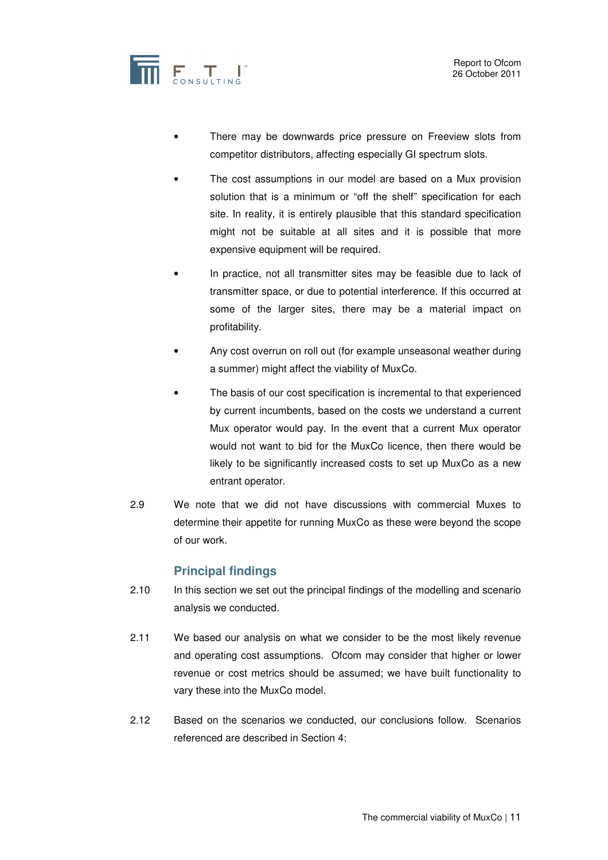

- There may be downwards price pressure on Freeview slots from competitor distributors, affecting especially GI spectrum slots.
- The cost assumptions in our model are based on a Mux provision solution that is a minimum or "off the shelf" specification for each site. In reality, it is entirely plausible that this standard specification might not be suitable at all sites and it is possible that more expensive equipment will be required.
- In practice, not all transmitter sites may be feasible due to lack of transmitter space, or due to potential interference. If this occurred at some of the larger sites, there may be a material impact on profitability.
- Any cost overrun on roll out (for example unseasonal weather during a summer) might affect the viability of MuxCo.
- The basis of our cost specification is incremental to that experienced by current incumbents, based on the costs we understand a current Mux operator would pay. In the event that a current Mux operator would not want to bid for the MuxCo licence, then there would be likely to be significantly increased costs to set up MuxCo as a new entrant operator.
- 2.9 We note that we did not have discussions with commercial Muxes to determine their appetite for running MuxCo as these were beyond the scope of our work.

# **Principal findings**

- 2.10 In this section we set out the principal findings of the modelling and scenario analysis we conducted.
- 2.11 We based our analysis on what we consider to be the most likely revenue and operating cost assumptions. Ofcom may consider that higher or lower revenue or cost metrics should be assumed; we have built functionality to vary these into the MuxCo model.
- 2.12 Based on the scenarios we conducted, our conclusions follow. Scenarios referenced are described in Section 4: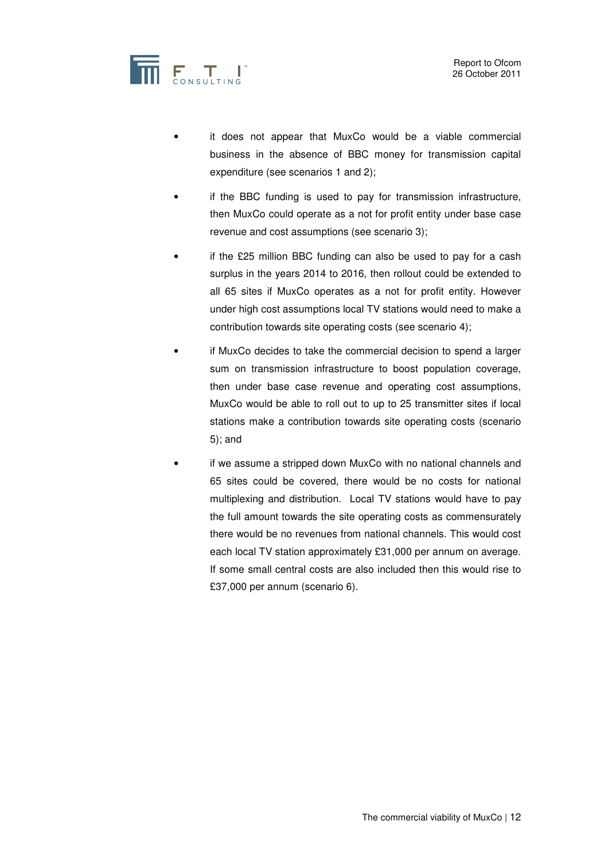

- it does not appear that MuxCo would be a viable commercial business in the absence of BBC money for transmission capital expenditure (see scenarios 1 and 2);
- if the BBC funding is used to pay for transmission infrastructure, then MuxCo could operate as a not for profit entity under base case revenue and cost assumptions (see scenario 3);
- if the £25 million BBC funding can also be used to pay for a cash surplus in the years 2014 to 2016, then rollout could be extended to all 65 sites if MuxCo operates as a not for profit entity. However under high cost assumptions local TV stations would need to make a contribution towards site operating costs (see scenario 4);
- if MuxCo decides to take the commercial decision to spend a larger sum on transmission infrastructure to boost population coverage, then under base case revenue and operating cost assumptions, MuxCo would be able to roll out to up to 25 transmitter sites if local stations make a contribution towards site operating costs (scenario 5); and
- if we assume a stripped down MuxCo with no national channels and 65 sites could be covered, there would be no costs for national multiplexing and distribution. Local TV stations would have to pay the full amount towards the site operating costs as commensurately there would be no revenues from national channels. This would cost each local TV station approximately £31,000 per annum on average. If some small central costs are also included then this would rise to £37,000 per annum (scenario 6).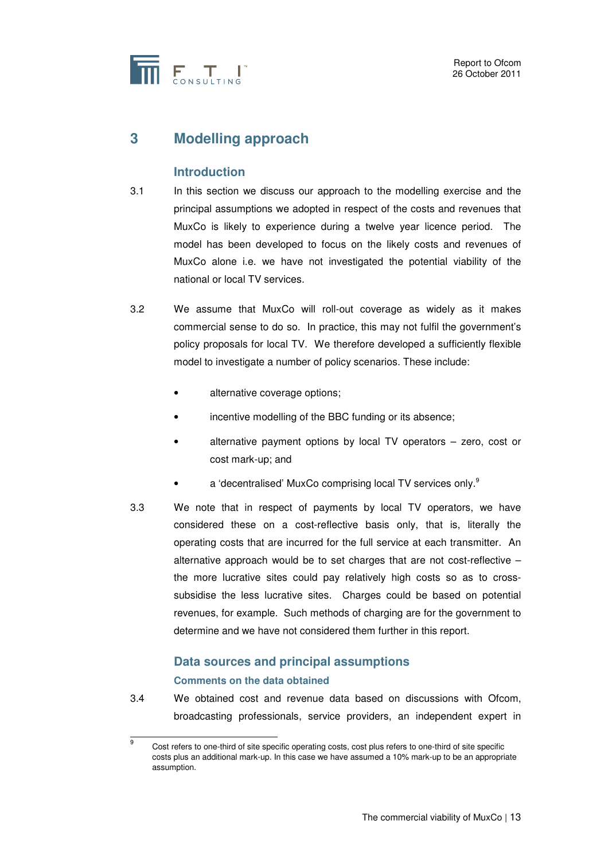

# **3 Modelling approach**

# **Introduction**

- 3.1 In this section we discuss our approach to the modelling exercise and the principal assumptions we adopted in respect of the costs and revenues that MuxCo is likely to experience during a twelve year licence period. The model has been developed to focus on the likely costs and revenues of MuxCo alone i.e. we have not investigated the potential viability of the national or local TV services.
- 3.2 We assume that MuxCo will roll-out coverage as widely as it makes commercial sense to do so. In practice, this may not fulfil the government's policy proposals for local TV. We therefore developed a sufficiently flexible model to investigate a number of policy scenarios. These include:
	- alternative coverage options;
	- incentive modelling of the BBC funding or its absence;
	- alternative payment options by local TV operators  $-$  zero, cost or cost mark-up; and
	- a 'decentralised' MuxCo comprising local TV services only.<sup>9</sup>
- 3.3 We note that in respect of payments by local TV operators, we have considered these on a cost-reflective basis only, that is, literally the operating costs that are incurred for the full service at each transmitter. An alternative approach would be to set charges that are not cost-reflective – the more lucrative sites could pay relatively high costs so as to crosssubsidise the less lucrative sites. Charges could be based on potential revenues, for example. Such methods of charging are for the government to determine and we have not considered them further in this report.

# **Data sources and principal assumptions Comments on the data obtained**

3.4 We obtained cost and revenue data based on discussions with Ofcom, broadcasting professionals, service providers, an independent expert in

 9 Cost refers to one-third of site specific operating costs, cost plus refers to one-third of site specific costs plus an additional mark-up. In this case we have assumed a 10% mark-up to be an appropriate assumption.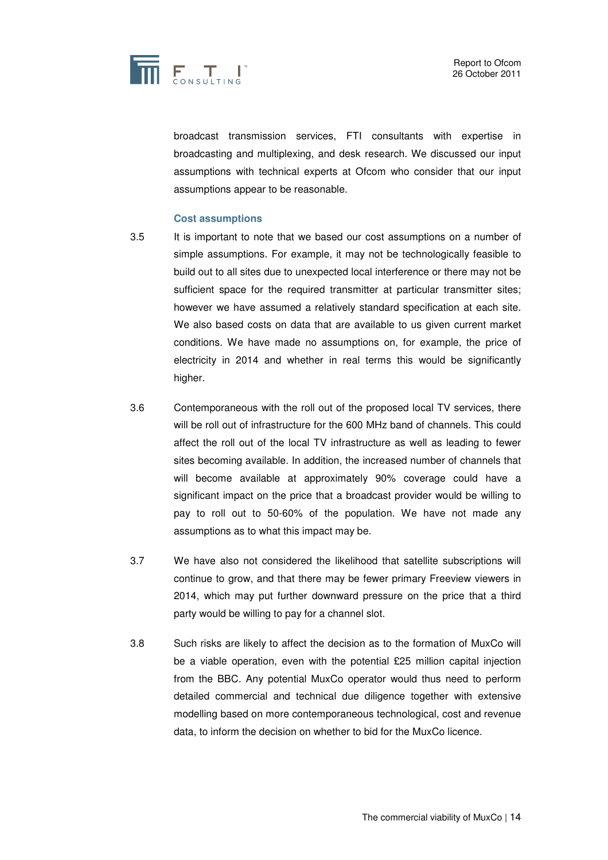

broadcast transmission services, FTI consultants with expertise in broadcasting and multiplexing, and desk research. We discussed our input assumptions with technical experts at Ofcom who consider that our input assumptions appear to be reasonable.

#### **Cost assumptions**

- 3.5 It is important to note that we based our cost assumptions on a number of simple assumptions. For example, it may not be technologically feasible to build out to all sites due to unexpected local interference or there may not be sufficient space for the required transmitter at particular transmitter sites; however we have assumed a relatively standard specification at each site. We also based costs on data that are available to us given current market conditions. We have made no assumptions on, for example, the price of electricity in 2014 and whether in real terms this would be significantly higher.
- 3.6 Contemporaneous with the roll out of the proposed local TV services, there will be roll out of infrastructure for the 600 MHz band of channels. This could affect the roll out of the local TV infrastructure as well as leading to fewer sites becoming available. In addition, the increased number of channels that will become available at approximately 90% coverage could have a significant impact on the price that a broadcast provider would be willing to pay to roll out to 50-60% of the population. We have not made any assumptions as to what this impact may be.
- 3.7 We have also not considered the likelihood that satellite subscriptions will continue to grow, and that there may be fewer primary Freeview viewers in 2014, which may put further downward pressure on the price that a third party would be willing to pay for a channel slot.
- 3.8 Such risks are likely to affect the decision as to the formation of MuxCo will be a viable operation, even with the potential £25 million capital injection from the BBC. Any potential MuxCo operator would thus need to perform detailed commercial and technical due diligence together with extensive modelling based on more contemporaneous technological, cost and revenue data, to inform the decision on whether to bid for the MuxCo licence.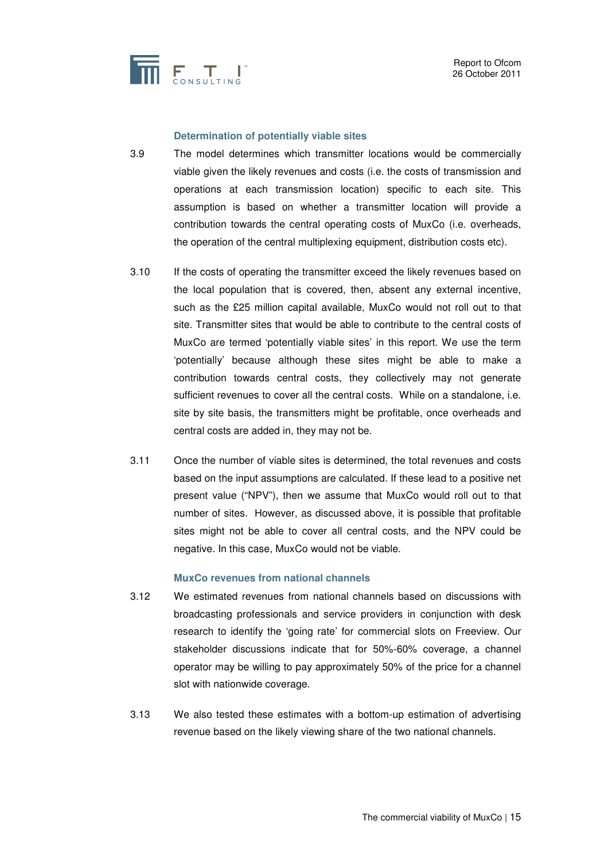

#### **Determination of potentially viable sites**

- 3.9 The model determines which transmitter locations would be commercially viable given the likely revenues and costs (i.e. the costs of transmission and operations at each transmission location) specific to each site. This assumption is based on whether a transmitter location will provide a contribution towards the central operating costs of MuxCo (i.e. overheads, the operation of the central multiplexing equipment, distribution costs etc).
- 3.10 If the costs of operating the transmitter exceed the likely revenues based on the local population that is covered, then, absent any external incentive, such as the £25 million capital available, MuxCo would not roll out to that site. Transmitter sites that would be able to contribute to the central costs of MuxCo are termed 'potentially viable sites' in this report. We use the term 'potentially' because although these sites might be able to make a contribution towards central costs, they collectively may not generate sufficient revenues to cover all the central costs. While on a standalone, i.e. site by site basis, the transmitters might be profitable, once overheads and central costs are added in, they may not be.
- 3.11 Once the number of viable sites is determined, the total revenues and costs based on the input assumptions are calculated. If these lead to a positive net present value ("NPV"), then we assume that MuxCo would roll out to that number of sites. However, as discussed above, it is possible that profitable sites might not be able to cover all central costs, and the NPV could be negative. In this case, MuxCo would not be viable.

#### **MuxCo revenues from national channels**

- 3.12 We estimated revenues from national channels based on discussions with broadcasting professionals and service providers in conjunction with desk research to identify the 'going rate' for commercial slots on Freeview. Our stakeholder discussions indicate that for 50%-60% coverage, a channel operator may be willing to pay approximately 50% of the price for a channel slot with nationwide coverage.
- 3.13 We also tested these estimates with a bottom-up estimation of advertising revenue based on the likely viewing share of the two national channels.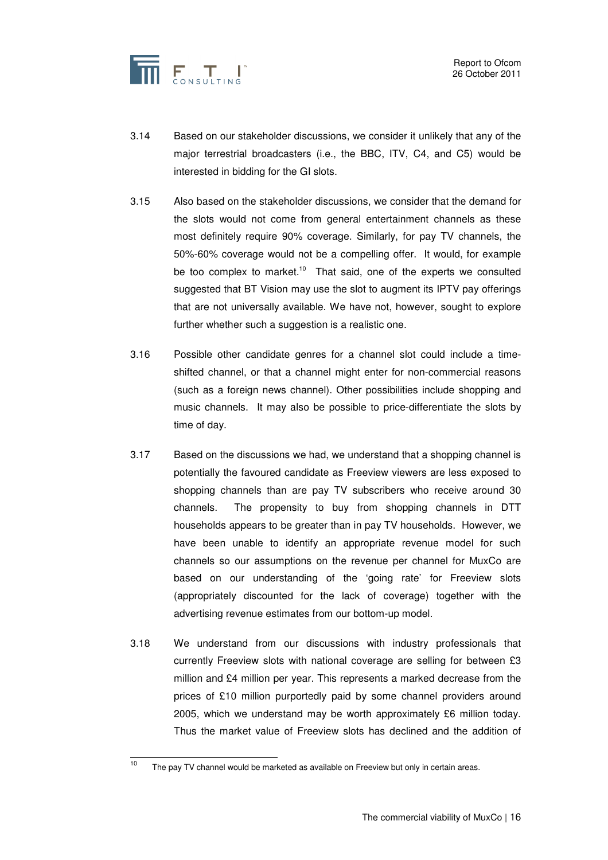

- 3.14 Based on our stakeholder discussions, we consider it unlikely that any of the major terrestrial broadcasters (i.e., the BBC, ITV, C4, and C5) would be interested in bidding for the GI slots.
- 3.15 Also based on the stakeholder discussions, we consider that the demand for the slots would not come from general entertainment channels as these most definitely require 90% coverage. Similarly, for pay TV channels, the 50%-60% coverage would not be a compelling offer. It would, for example be too complex to market.<sup>10</sup> That said, one of the experts we consulted suggested that BT Vision may use the slot to augment its IPTV pay offerings that are not universally available. We have not, however, sought to explore further whether such a suggestion is a realistic one.
- 3.16 Possible other candidate genres for a channel slot could include a timeshifted channel, or that a channel might enter for non-commercial reasons (such as a foreign news channel). Other possibilities include shopping and music channels. It may also be possible to price-differentiate the slots by time of day.
- 3.17 Based on the discussions we had, we understand that a shopping channel is potentially the favoured candidate as Freeview viewers are less exposed to shopping channels than are pay TV subscribers who receive around 30 channels. The propensity to buy from shopping channels in DTT households appears to be greater than in pay TV households. However, we have been unable to identify an appropriate revenue model for such channels so our assumptions on the revenue per channel for MuxCo are based on our understanding of the 'going rate' for Freeview slots (appropriately discounted for the lack of coverage) together with the advertising revenue estimates from our bottom-up model.
- 3.18 We understand from our discussions with industry professionals that currently Freeview slots with national coverage are selling for between £3 million and £4 million per year. This represents a marked decrease from the prices of £10 million purportedly paid by some channel providers around 2005, which we understand may be worth approximately £6 million today. Thus the market value of Freeview slots has declined and the addition of

 $\overline{10}$ The pay TV channel would be marketed as available on Freeview but only in certain areas.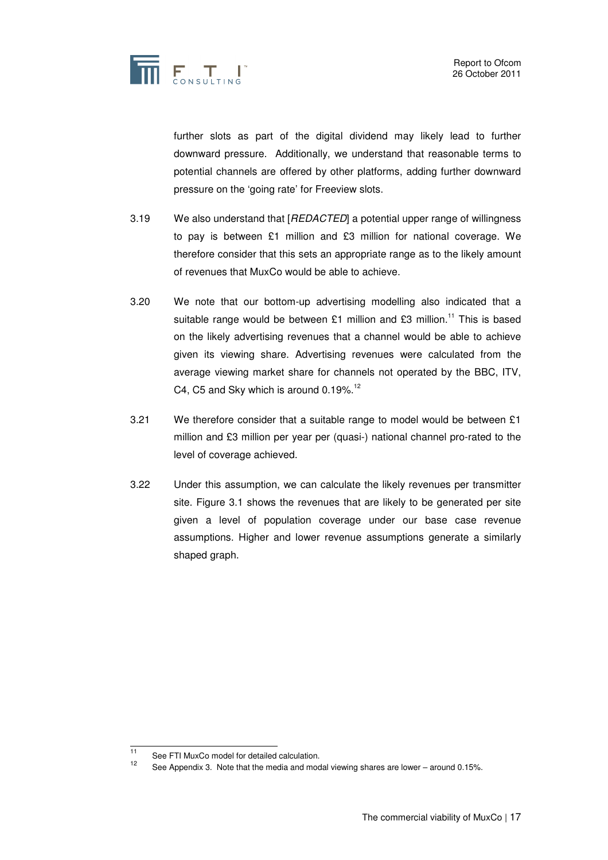

further slots as part of the digital dividend may likely lead to further downward pressure. Additionally, we understand that reasonable terms to potential channels are offered by other platforms, adding further downward pressure on the 'going rate' for Freeview slots.

- 3.19 We also understand that [REDACTED] a potential upper range of willingness to pay is between £1 million and £3 million for national coverage. We therefore consider that this sets an appropriate range as to the likely amount of revenues that MuxCo would be able to achieve.
- 3.20 We note that our bottom-up advertising modelling also indicated that a suitable range would be between £1 million and £3 million.<sup>11</sup> This is based on the likely advertising revenues that a channel would be able to achieve given its viewing share. Advertising revenues were calculated from the average viewing market share for channels not operated by the BBC, ITV, C4, C5 and Sky which is around  $0.19\%$ .<sup>12</sup>
- 3.21 We therefore consider that a suitable range to model would be between £1 million and £3 million per year per (quasi-) national channel pro-rated to the level of coverage achieved.
- 3.22 Under this assumption, we can calculate the likely revenues per transmitter site. Figure 3.1 shows the revenues that are likely to be generated per site given a level of population coverage under our base case revenue assumptions. Higher and lower revenue assumptions generate a similarly shaped graph.

 $11$ <sup>11</sup> See FTI MuxCo model for detailed calculation.

See Appendix 3. Note that the media and modal viewing shares are lower – around 0.15%.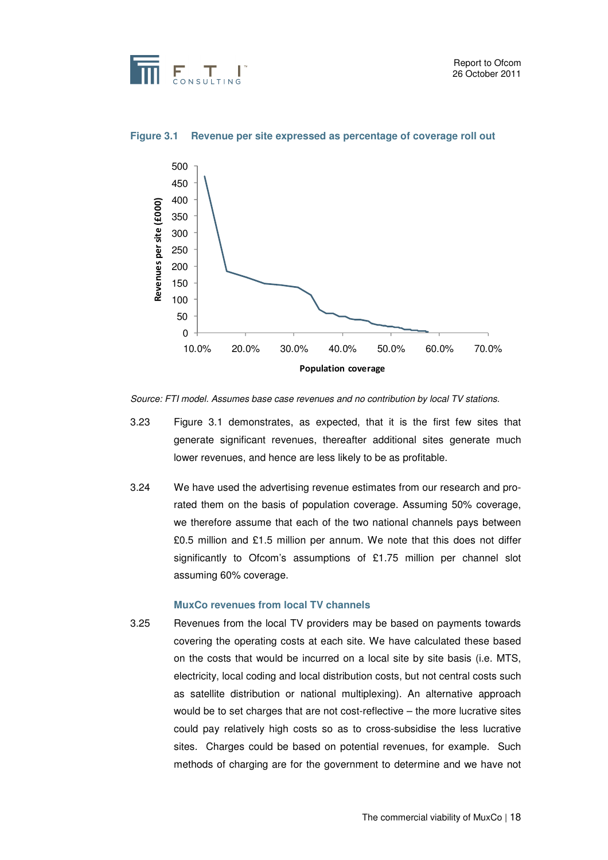



#### **Figure 3.1 Revenue per site expressed as percentage of coverage roll out**

Source: FTI model. Assumes base case revenues and no contribution by local TV stations.

- 3.23 Figure 3.1 demonstrates, as expected, that it is the first few sites that generate significant revenues, thereafter additional sites generate much lower revenues, and hence are less likely to be as profitable.
- 3.24 We have used the advertising revenue estimates from our research and prorated them on the basis of population coverage. Assuming 50% coverage, we therefore assume that each of the two national channels pays between £0.5 million and £1.5 million per annum. We note that this does not differ significantly to Ofcom's assumptions of £1.75 million per channel slot assuming 60% coverage.

#### **MuxCo revenues from local TV channels**

3.25 Revenues from the local TV providers may be based on payments towards covering the operating costs at each site. We have calculated these based on the costs that would be incurred on a local site by site basis (i.e. MTS, electricity, local coding and local distribution costs, but not central costs such as satellite distribution or national multiplexing). An alternative approach would be to set charges that are not cost-reflective – the more lucrative sites could pay relatively high costs so as to cross-subsidise the less lucrative sites. Charges could be based on potential revenues, for example. Such methods of charging are for the government to determine and we have not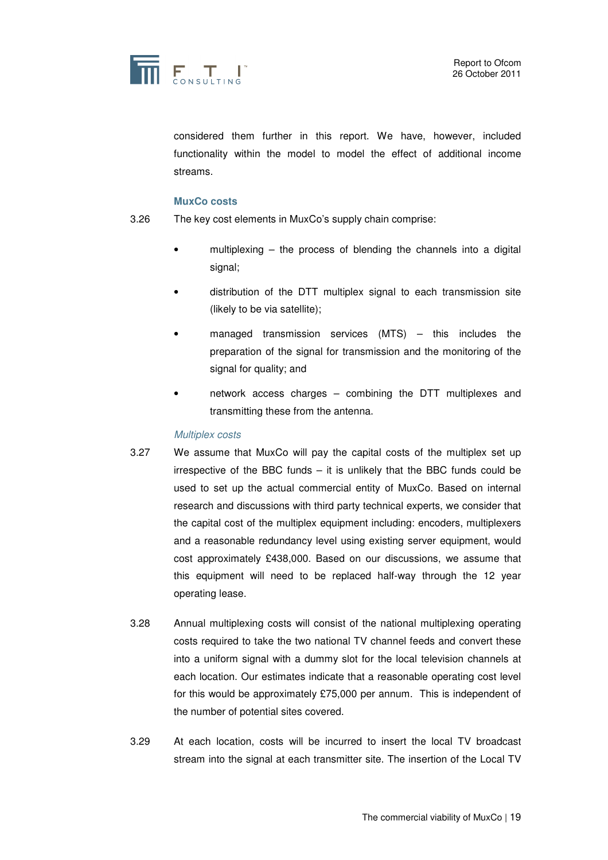

considered them further in this report. We have, however, included functionality within the model to model the effect of additional income streams.

#### **MuxCo costs**

- 3.26 The key cost elements in MuxCo's supply chain comprise:
	- multiplexing  $-$  the process of blending the channels into a digital signal;
	- distribution of the DTT multiplex signal to each transmission site (likely to be via satellite);
	- managed transmission services  $(MTS)$  this includes the preparation of the signal for transmission and the monitoring of the signal for quality; and
	- network access charges combining the DTT multiplexes and transmitting these from the antenna.

#### Multiplex costs

- 3.27 We assume that MuxCo will pay the capital costs of the multiplex set up irrespective of the BBC funds – it is unlikely that the BBC funds could be used to set up the actual commercial entity of MuxCo. Based on internal research and discussions with third party technical experts, we consider that the capital cost of the multiplex equipment including: encoders, multiplexers and a reasonable redundancy level using existing server equipment, would cost approximately £438,000. Based on our discussions, we assume that this equipment will need to be replaced half-way through the 12 year operating lease.
- 3.28 Annual multiplexing costs will consist of the national multiplexing operating costs required to take the two national TV channel feeds and convert these into a uniform signal with a dummy slot for the local television channels at each location. Our estimates indicate that a reasonable operating cost level for this would be approximately £75,000 per annum. This is independent of the number of potential sites covered.
- 3.29 At each location, costs will be incurred to insert the local TV broadcast stream into the signal at each transmitter site. The insertion of the Local TV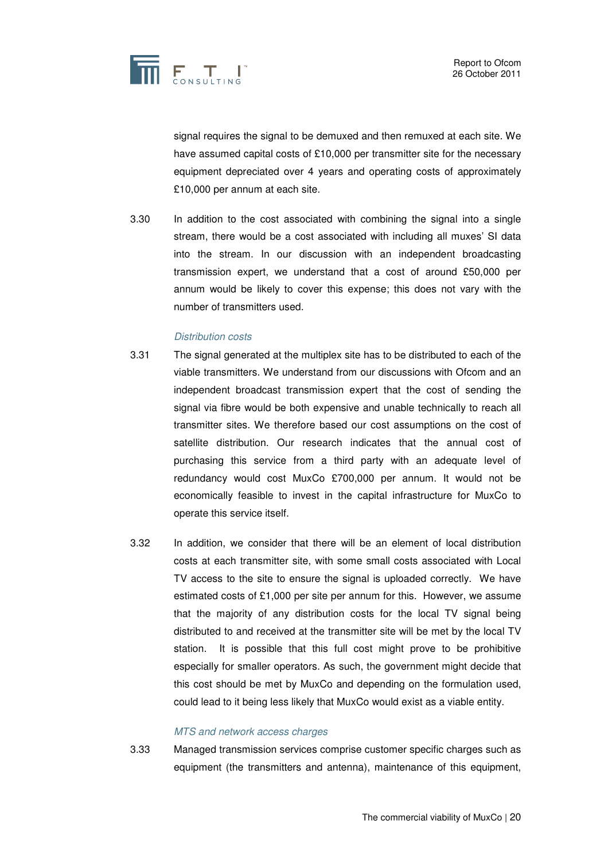

signal requires the signal to be demuxed and then remuxed at each site. We have assumed capital costs of £10,000 per transmitter site for the necessary equipment depreciated over 4 years and operating costs of approximately £10,000 per annum at each site.

3.30 In addition to the cost associated with combining the signal into a single stream, there would be a cost associated with including all muxes' SI data into the stream. In our discussion with an independent broadcasting transmission expert, we understand that a cost of around £50,000 per annum would be likely to cover this expense; this does not vary with the number of transmitters used.

#### Distribution costs

- 3.31 The signal generated at the multiplex site has to be distributed to each of the viable transmitters. We understand from our discussions with Ofcom and an independent broadcast transmission expert that the cost of sending the signal via fibre would be both expensive and unable technically to reach all transmitter sites. We therefore based our cost assumptions on the cost of satellite distribution. Our research indicates that the annual cost of purchasing this service from a third party with an adequate level of redundancy would cost MuxCo £700,000 per annum. It would not be economically feasible to invest in the capital infrastructure for MuxCo to operate this service itself.
- 3.32 In addition, we consider that there will be an element of local distribution costs at each transmitter site, with some small costs associated with Local TV access to the site to ensure the signal is uploaded correctly. We have estimated costs of £1,000 per site per annum for this. However, we assume that the majority of any distribution costs for the local TV signal being distributed to and received at the transmitter site will be met by the local TV station. It is possible that this full cost might prove to be prohibitive especially for smaller operators. As such, the government might decide that this cost should be met by MuxCo and depending on the formulation used, could lead to it being less likely that MuxCo would exist as a viable entity.

#### MTS and network access charges

3.33 Managed transmission services comprise customer specific charges such as equipment (the transmitters and antenna), maintenance of this equipment,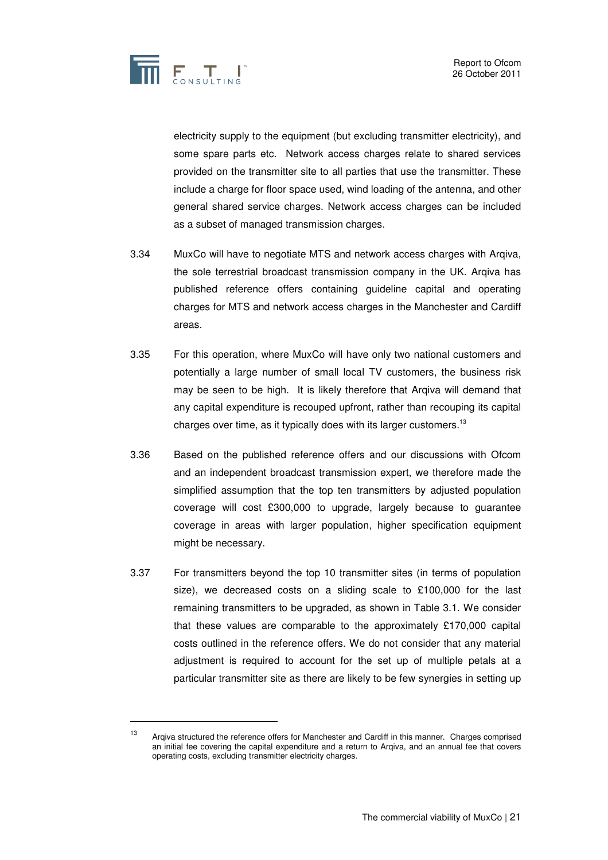$\overline{a}$ 

electricity supply to the equipment (but excluding transmitter electricity), and some spare parts etc. Network access charges relate to shared services provided on the transmitter site to all parties that use the transmitter. These include a charge for floor space used, wind loading of the antenna, and other general shared service charges. Network access charges can be included as a subset of managed transmission charges.

- 3.34 MuxCo will have to negotiate MTS and network access charges with Arqiva, the sole terrestrial broadcast transmission company in the UK. Arqiva has published reference offers containing guideline capital and operating charges for MTS and network access charges in the Manchester and Cardiff areas.
- 3.35 For this operation, where MuxCo will have only two national customers and potentially a large number of small local TV customers, the business risk may be seen to be high. It is likely therefore that Arqiva will demand that any capital expenditure is recouped upfront, rather than recouping its capital charges over time, as it typically does with its larger customers.<sup>13</sup>
- 3.36 Based on the published reference offers and our discussions with Ofcom and an independent broadcast transmission expert, we therefore made the simplified assumption that the top ten transmitters by adjusted population coverage will cost £300,000 to upgrade, largely because to guarantee coverage in areas with larger population, higher specification equipment might be necessary.
- 3.37 For transmitters beyond the top 10 transmitter sites (in terms of population size), we decreased costs on a sliding scale to £100,000 for the last remaining transmitters to be upgraded, as shown in Table 3.1. We consider that these values are comparable to the approximately £170,000 capital costs outlined in the reference offers. We do not consider that any material adjustment is required to account for the set up of multiple petals at a particular transmitter site as there are likely to be few synergies in setting up

<sup>13</sup> Arqiva structured the reference offers for Manchester and Cardiff in this manner. Charges comprised an initial fee covering the capital expenditure and a return to Arqiva, and an annual fee that covers operating costs, excluding transmitter electricity charges.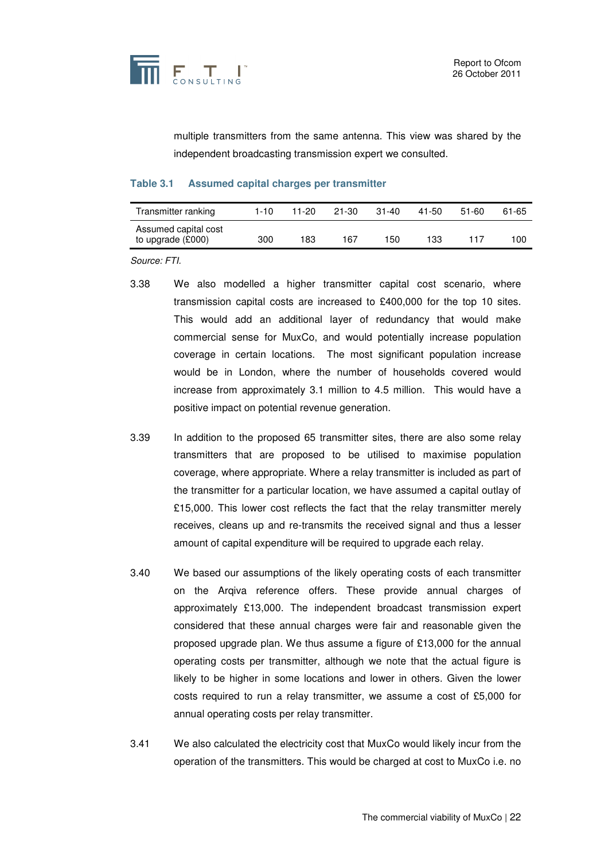

multiple transmitters from the same antenna. This view was shared by the independent broadcasting transmission expert we consulted.

#### **Table 3.1 Assumed capital charges per transmitter**

| Transmitter ranking                       | $1 - 10$ | 11-20 | 21-30 | $31 - 40$ | 41-50 | 51-60 | 61-65 |
|-------------------------------------------|----------|-------|-------|-----------|-------|-------|-------|
| Assumed capital cost<br>to upgrade (£000) | 300      | 183   | 167   | 150       | 133   | 117   | 100   |

Source: FTI.

- 3.38 We also modelled a higher transmitter capital cost scenario, where transmission capital costs are increased to £400,000 for the top 10 sites. This would add an additional layer of redundancy that would make commercial sense for MuxCo, and would potentially increase population coverage in certain locations. The most significant population increase would be in London, where the number of households covered would increase from approximately 3.1 million to 4.5 million. This would have a positive impact on potential revenue generation.
- 3.39 In addition to the proposed 65 transmitter sites, there are also some relay transmitters that are proposed to be utilised to maximise population coverage, where appropriate. Where a relay transmitter is included as part of the transmitter for a particular location, we have assumed a capital outlay of £15,000. This lower cost reflects the fact that the relay transmitter merely receives, cleans up and re-transmits the received signal and thus a lesser amount of capital expenditure will be required to upgrade each relay.
- 3.40 We based our assumptions of the likely operating costs of each transmitter on the Arqiva reference offers. These provide annual charges of approximately £13,000. The independent broadcast transmission expert considered that these annual charges were fair and reasonable given the proposed upgrade plan. We thus assume a figure of £13,000 for the annual operating costs per transmitter, although we note that the actual figure is likely to be higher in some locations and lower in others. Given the lower costs required to run a relay transmitter, we assume a cost of £5,000 for annual operating costs per relay transmitter.
- 3.41 We also calculated the electricity cost that MuxCo would likely incur from the operation of the transmitters. This would be charged at cost to MuxCo i.e. no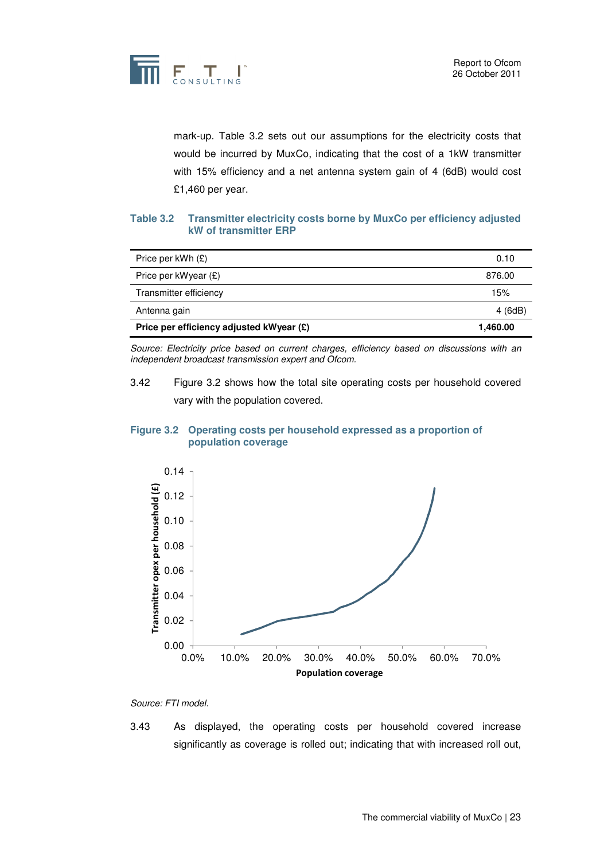

mark-up. Table 3.2 sets out our assumptions for the electricity costs that would be incurred by MuxCo, indicating that the cost of a 1kW transmitter with 15% efficiency and a net antenna system gain of 4 (6dB) would cost £1,460 per year.

#### **Table 3.2 Transmitter electricity costs borne by MuxCo per efficiency adjusted kW of transmitter ERP**

| Price per kWh $(E)$                      | 0.10     |
|------------------------------------------|----------|
| Price per kWyear $(E)$                   | 876.00   |
| Transmitter efficiency                   | 15%      |
| Antenna gain                             | 4(6dB)   |
| Price per efficiency adjusted kWyear (£) | 1,460.00 |

Source: Electricity price based on current charges, efficiency based on discussions with an independent broadcast transmission expert and Ofcom.

3.42 Figure 3.2 shows how the total site operating costs per household covered vary with the population covered.

#### **Figure 3.2 Operating costs per household expressed as a proportion of population coverage**



Source: FTI model.

3.43 As displayed, the operating costs per household covered increase significantly as coverage is rolled out; indicating that with increased roll out,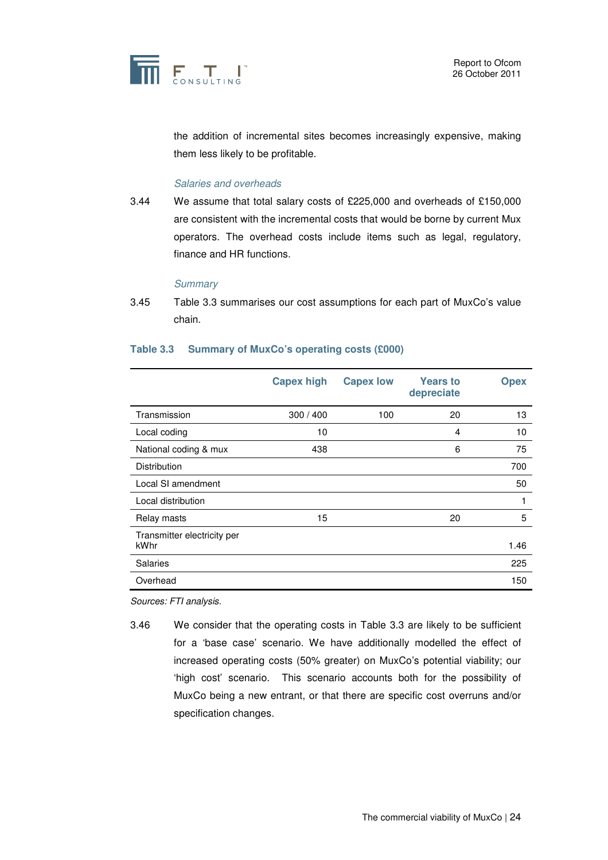

the addition of incremental sites becomes increasingly expensive, making them less likely to be profitable.

#### Salaries and overheads

3.44 We assume that total salary costs of £225,000 and overheads of £150,000 are consistent with the incremental costs that would be borne by current Mux operators. The overhead costs include items such as legal, regulatory, finance and HR functions.

#### **Summary**

3.45 Table 3.3 summarises our cost assumptions for each part of MuxCo's value chain.

#### **Table 3.3 Summary of MuxCo's operating costs (£000)**

|                                     | <b>Capex high</b> | <b>Capex low</b> | <b>Years to</b><br>depreciate | <b>Opex</b> |
|-------------------------------------|-------------------|------------------|-------------------------------|-------------|
| Transmission                        | 300/400           | 100              | 20                            | 13          |
| Local coding                        | 10                |                  | 4                             | 10          |
| National coding & mux               | 438               |                  | 6                             | 75          |
| Distribution                        |                   |                  |                               | 700         |
| Local SI amendment                  |                   |                  |                               | 50          |
| Local distribution                  |                   |                  |                               | 1           |
| Relay masts                         | 15                |                  | 20                            | 5           |
| Transmitter electricity per<br>kWhr |                   |                  |                               | 1.46        |
| <b>Salaries</b>                     |                   |                  |                               | 225         |
| Overhead                            |                   |                  |                               | 150         |

Sources: FTI analysis.

3.46 We consider that the operating costs in Table 3.3 are likely to be sufficient for a 'base case' scenario. We have additionally modelled the effect of increased operating costs (50% greater) on MuxCo's potential viability; our 'high cost' scenario. This scenario accounts both for the possibility of MuxCo being a new entrant, or that there are specific cost overruns and/or specification changes.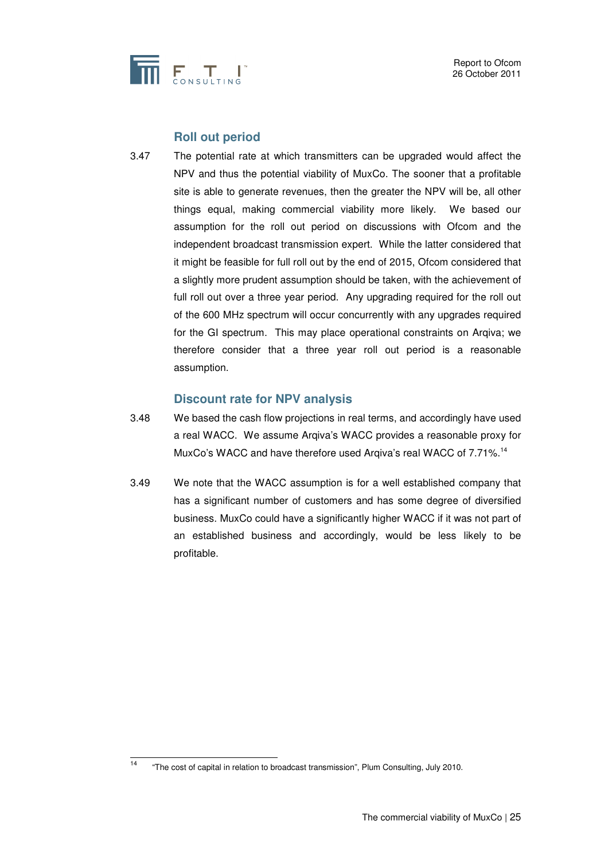

# **Roll out period**

3.47 The potential rate at which transmitters can be upgraded would affect the NPV and thus the potential viability of MuxCo. The sooner that a profitable site is able to generate revenues, then the greater the NPV will be, all other things equal, making commercial viability more likely. We based our assumption for the roll out period on discussions with Ofcom and the independent broadcast transmission expert. While the latter considered that it might be feasible for full roll out by the end of 2015, Ofcom considered that a slightly more prudent assumption should be taken, with the achievement of full roll out over a three year period. Any upgrading required for the roll out of the 600 MHz spectrum will occur concurrently with any upgrades required for the GI spectrum. This may place operational constraints on Arqiva; we therefore consider that a three year roll out period is a reasonable assumption.

### **Discount rate for NPV analysis**

- 3.48 We based the cash flow projections in real terms, and accordingly have used a real WACC. We assume Arqiva's WACC provides a reasonable proxy for MuxCo's WACC and have therefore used Argiva's real WACC of 7.71%.<sup>14</sup>
- 3.49 We note that the WACC assumption is for a well established company that has a significant number of customers and has some degree of diversified business. MuxCo could have a significantly higher WACC if it was not part of an established business and accordingly, would be less likely to be profitable.

 $\overline{14}$ "The cost of capital in relation to broadcast transmission", Plum Consulting, July 2010.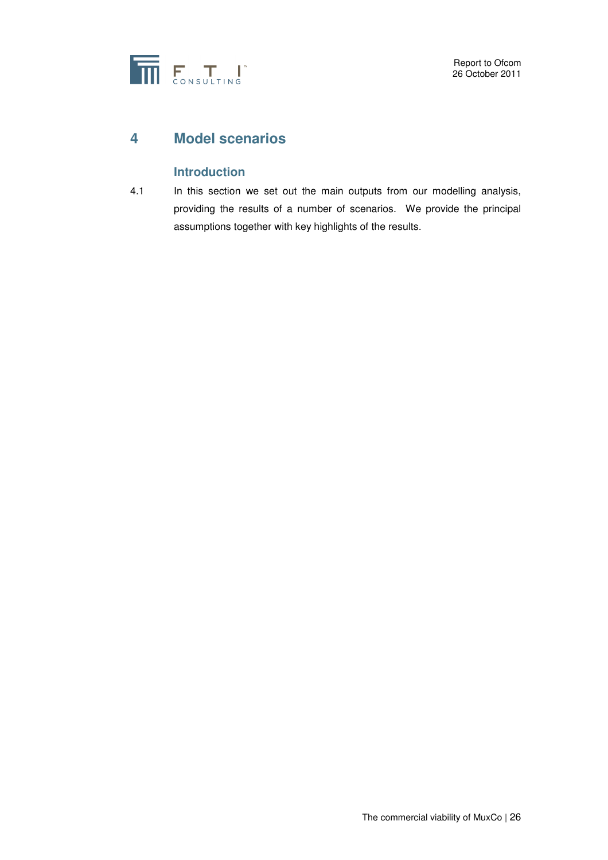

# **4 Model scenarios**

# **Introduction**

4.1 In this section we set out the main outputs from our modelling analysis, providing the results of a number of scenarios. We provide the principal assumptions together with key highlights of the results.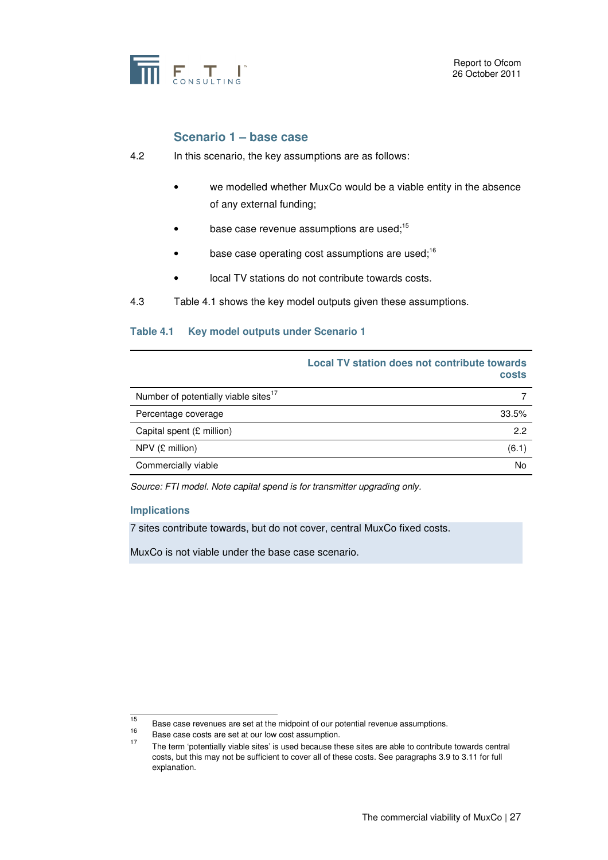

### **Scenario 1 – base case**

4.2 In this scenario, the key assumptions are as follows:

- we modelled whether MuxCo would be a viable entity in the absence of any external funding;
- base case revenue assumptions are used; $15$
- base case operating cost assumptions are used; $16$
- local TV stations do not contribute towards costs.
- 4.3 Table 4.1 shows the key model outputs given these assumptions.

#### **Table 4.1 Key model outputs under Scenario 1**

|                                                  | Local TV station does not contribute towards<br>costs |
|--------------------------------------------------|-------------------------------------------------------|
| Number of potentially viable sites <sup>17</sup> |                                                       |
| Percentage coverage                              | 33.5%                                                 |
| Capital spent (£ million)                        | 2.2                                                   |
| $NPV$ (£ million)                                | (6.1)                                                 |
| Commercially viable                              | No                                                    |

Source: FTI model. Note capital spend is for transmitter upgrading only.

#### **Implications**

7 sites contribute towards, but do not cover, central MuxCo fixed costs.

MuxCo is not viable under the base case scenario.

 $15<sub>15</sub>$ <sup>15</sup> Base case revenues are set at the midpoint of our potential revenue assumptions.

<sup>&</sup>lt;sup>16</sup> Base case costs are set at our low cost assumption.<br><sup>17</sup> The term instantially viable gites' is used because the

The term 'potentially viable sites' is used because these sites are able to contribute towards central costs, but this may not be sufficient to cover all of these costs. See paragraphs 3.9 to 3.11 for full explanation.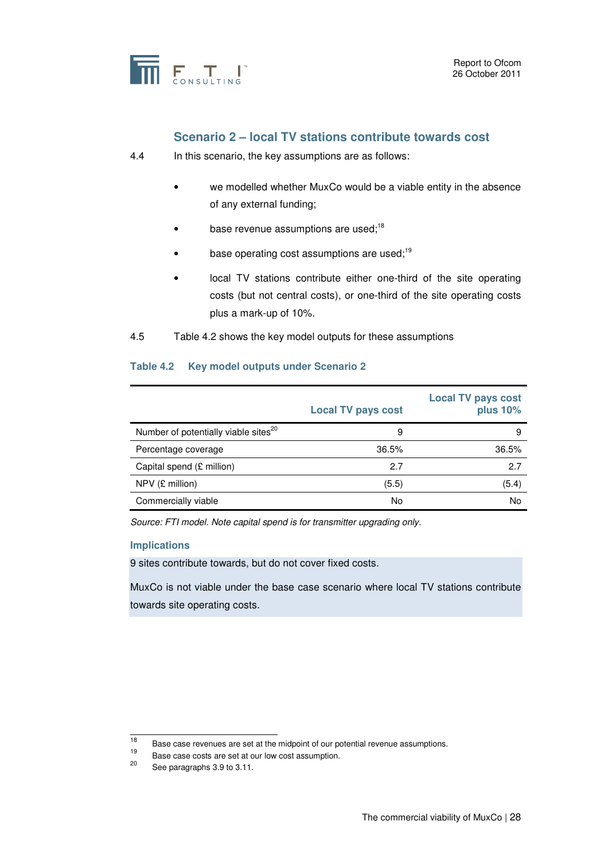

# **Scenario 2 – local TV stations contribute towards cost**

4.4 In this scenario, the key assumptions are as follows:

- we modelled whether MuxCo would be a viable entity in the absence of any external funding;
- $\bullet$  base revenue assumptions are used;<sup>18</sup>
- $\bullet$  base operating cost assumptions are used;<sup>19</sup>
- local TV stations contribute either one-third of the site operating costs (but not central costs), or one-third of the site operating costs plus a mark-up of 10%.
- 4.5 Table 4.2 shows the key model outputs for these assumptions

#### **Table 4.2 Key model outputs under Scenario 2**

|                                                  | <b>Local TV pays cost</b> | <b>Local TV pays cost</b><br>plus 10% |
|--------------------------------------------------|---------------------------|---------------------------------------|
| Number of potentially viable sites <sup>20</sup> | 9                         | 9                                     |
| Percentage coverage                              | 36.5%                     | 36.5%                                 |
| Capital spend (£ million)                        | 2.7                       | 2.7                                   |
| $NPV$ (£ million)                                | (5.5)                     | (5.4)                                 |
| Commercially viable                              | No                        | No                                    |

Source: FTI model. Note capital spend is for transmitter upgrading only.

#### **Implications**

9 sites contribute towards, but do not cover fixed costs.

MuxCo is not viable under the base case scenario where local TV stations contribute towards site operating costs.

 $18$ <sup>18</sup> Base case revenues are set at the midpoint of our potential revenue assumptions.<br><sup>19</sup> Passesses associations and the value assumption

 $19$  Base case costs are set at our low cost assumption.

See paragraphs 3.9 to 3.11.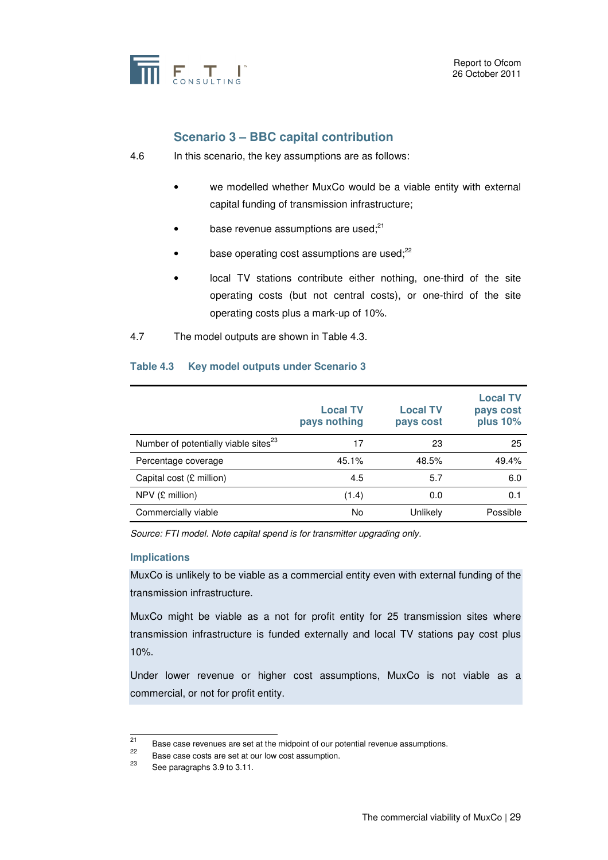

# **Scenario 3 – BBC capital contribution**

4.6 In this scenario, the key assumptions are as follows:

- we modelled whether MuxCo would be a viable entity with external capital funding of transmission infrastructure;
- base revenue assumptions are used; $^{21}$
- base operating cost assumptions are used;<sup>22</sup>
- local TV stations contribute either nothing, one-third of the site operating costs (but not central costs), or one-third of the site operating costs plus a mark-up of 10%.
- 4.7 The model outputs are shown in Table 4.3.

#### **Table 4.3 Key model outputs under Scenario 3**

|                                                  | <b>Local TV</b><br>pays nothing | <b>Local TV</b><br>pays cost | <b>Local TV</b><br>pays cost<br>plus 10% |
|--------------------------------------------------|---------------------------------|------------------------------|------------------------------------------|
| Number of potentially viable sites <sup>23</sup> | 17                              | 23                           | 25                                       |
| Percentage coverage                              | 45.1%                           | 48.5%                        | 49.4%                                    |
| Capital cost $(E \text{ million})$               | 4.5                             | 5.7                          | 6.0                                      |
| $NPV$ (£ million)                                | (1.4)                           | 0.0                          | 0.1                                      |
| Commercially viable                              | No                              | Unlikely                     | Possible                                 |

Source: FTI model. Note capital spend is for transmitter upgrading only.

#### **Implications**

MuxCo is unlikely to be viable as a commercial entity even with external funding of the transmission infrastructure.

MuxCo might be viable as a not for profit entity for 25 transmission sites where transmission infrastructure is funded externally and local TV stations pay cost plus 10%.

Under lower revenue or higher cost assumptions, MuxCo is not viable as a commercial, or not for profit entity.

 $\overline{21}$ <sup>21</sup> Base case revenues are set at the midpoint of our potential revenue assumptions.

<sup>&</sup>lt;sup>22</sup> Base case costs are set at our low cost assumption.<br><sup>23</sup> Base parameter 2.0 to 2.11

See paragraphs 3.9 to 3.11.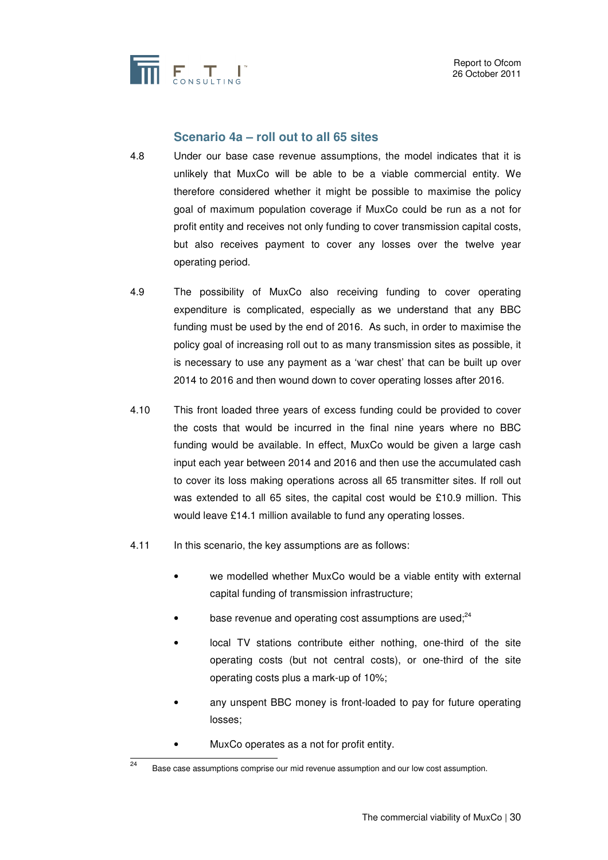

### **Scenario 4a – roll out to all 65 sites**

- 4.8 Under our base case revenue assumptions, the model indicates that it is unlikely that MuxCo will be able to be a viable commercial entity. We therefore considered whether it might be possible to maximise the policy goal of maximum population coverage if MuxCo could be run as a not for profit entity and receives not only funding to cover transmission capital costs, but also receives payment to cover any losses over the twelve year operating period.
- 4.9 The possibility of MuxCo also receiving funding to cover operating expenditure is complicated, especially as we understand that any BBC funding must be used by the end of 2016. As such, in order to maximise the policy goal of increasing roll out to as many transmission sites as possible, it is necessary to use any payment as a 'war chest' that can be built up over 2014 to 2016 and then wound down to cover operating losses after 2016.
- 4.10 This front loaded three years of excess funding could be provided to cover the costs that would be incurred in the final nine years where no BBC funding would be available. In effect, MuxCo would be given a large cash input each year between 2014 and 2016 and then use the accumulated cash to cover its loss making operations across all 65 transmitter sites. If roll out was extended to all 65 sites, the capital cost would be £10.9 million. This would leave £14.1 million available to fund any operating losses.
- 4.11 In this scenario, the key assumptions are as follows:
	- we modelled whether MuxCo would be a viable entity with external capital funding of transmission infrastructure;
	- base revenue and operating cost assumptions are used; $^{24}$
	- local TV stations contribute either nothing, one-third of the site operating costs (but not central costs), or one-third of the site operating costs plus a mark-up of 10%;
	- any unspent BBC money is front-loaded to pay for future operating losses;
	- MuxCo operates as a not for profit entity.

<sup>-&</sup>lt;br>24 Base case assumptions comprise our mid revenue assumption and our low cost assumption.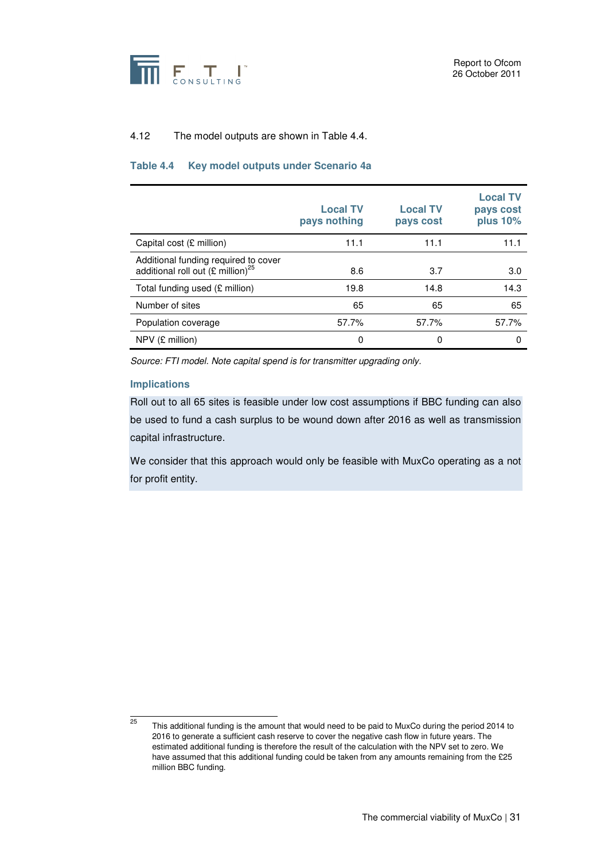

#### 4.12 The model outputs are shown in Table 4.4.

#### **Table 4.4 Key model outputs under Scenario 4a**

|                                                                                       | <b>Local TV</b><br>pays nothing | <b>Local TV</b><br>pays cost | <b>Local TV</b><br>pays cost<br>plus 10% |
|---------------------------------------------------------------------------------------|---------------------------------|------------------------------|------------------------------------------|
| Capital cost (£ million)                                                              | 11.1                            | 11.1                         | 11.1                                     |
| Additional funding required to cover<br>additional roll out (£ million) <sup>25</sup> | 8.6                             | 3.7                          | 3.0                                      |
| Total funding used $(E \text{ million})$                                              | 19.8                            | 14.8                         | 14.3                                     |
| Number of sites                                                                       | 65                              | 65                           | 65                                       |
| Population coverage                                                                   | 57.7%                           | 57.7%                        | 57.7%                                    |
| $NPV$ (£ million)                                                                     | 0                               | 0                            | 0                                        |

Source: FTI model. Note capital spend is for transmitter upgrading only.

#### **Implications**

Roll out to all 65 sites is feasible under low cost assumptions if BBC funding can also be used to fund a cash surplus to be wound down after 2016 as well as transmission capital infrastructure.

We consider that this approach would only be feasible with MuxCo operating as a not for profit entity.

 $\overline{25}$ <sup>25</sup> This additional funding is the amount that would need to be paid to MuxCo during the period 2014 to 2016 to generate a sufficient cash reserve to cover the negative cash flow in future years. The estimated additional funding is therefore the result of the calculation with the NPV set to zero. We have assumed that this additional funding could be taken from any amounts remaining from the £25 million BBC funding.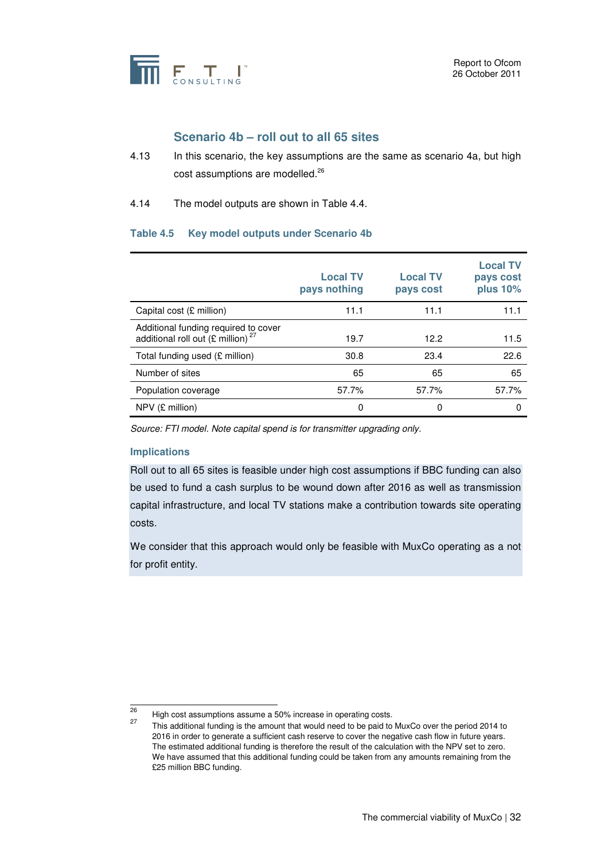

# **Scenario 4b – roll out to all 65 sites**

- 4.13 In this scenario, the key assumptions are the same as scenario 4a, but high cost assumptions are modelled.<sup>26</sup>
- 4.14 The model outputs are shown in Table 4.4.

#### **Table 4.5 Key model outputs under Scenario 4b**

|                                                                                       | <b>Local TV</b><br>pays nothing | <b>Local TV</b><br>pays cost | <b>Local TV</b><br>pays cost<br>plus 10% |
|---------------------------------------------------------------------------------------|---------------------------------|------------------------------|------------------------------------------|
| Capital cost (£ million)                                                              | 11.1                            | 11.1                         | 11.1                                     |
| Additional funding required to cover<br>additional roll out (£ million) <sup>27</sup> | 19.7                            | 12.2                         | 11.5                                     |
| Total funding used (£ million)                                                        | 30.8                            | 23.4                         | 22.6                                     |
| Number of sites                                                                       | 65                              | 65                           | 65                                       |
| Population coverage                                                                   | 57.7%                           | 57.7%                        | 57.7%                                    |
| $NPV$ (£ million)                                                                     | 0                               | 0                            |                                          |

Source: FTI model. Note capital spend is for transmitter upgrading only.

#### **Implications**

Roll out to all 65 sites is feasible under high cost assumptions if BBC funding can also be used to fund a cash surplus to be wound down after 2016 as well as transmission capital infrastructure, and local TV stations make a contribution towards site operating costs.

We consider that this approach would only be feasible with MuxCo operating as a not for profit entity.

 $\overline{26}$ <sup>26</sup> High cost assumptions assume a 50% increase in operating costs.<br><sup>27</sup> This additional funding is the amount that upuld need to be poid to

<sup>27</sup> This additional funding is the amount that would need to be paid to MuxCo over the period 2014 to 2016 in order to generate a sufficient cash reserve to cover the negative cash flow in future years. The estimated additional funding is therefore the result of the calculation with the NPV set to zero. We have assumed that this additional funding could be taken from any amounts remaining from the £25 million BBC funding.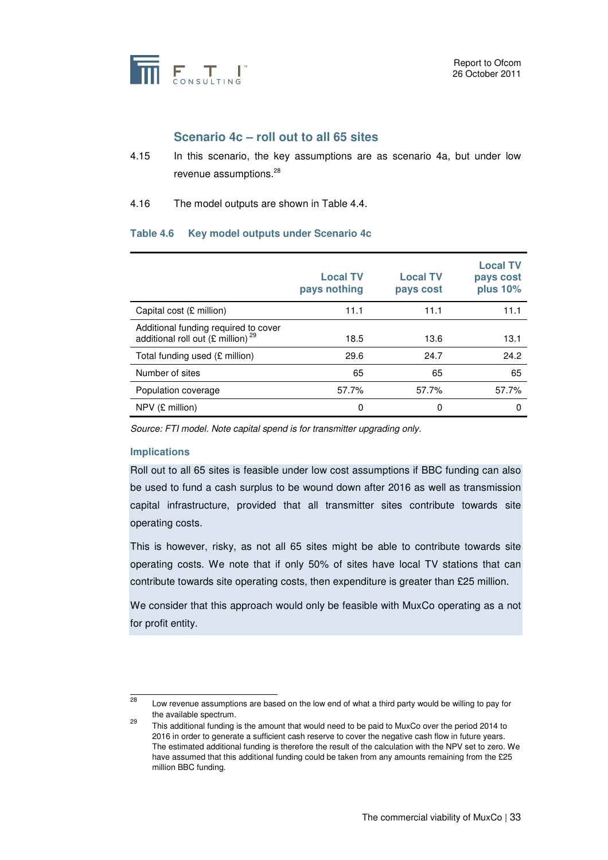

# **Scenario 4c – roll out to all 65 sites**

- 4.15 In this scenario, the key assumptions are as scenario 4a, but under low revenue assumptions.<sup>28</sup>
- 4.16 The model outputs are shown in Table 4.4.

#### **Table 4.6 Key model outputs under Scenario 4c**

|                                                                                        | <b>Local TV</b><br>pays nothing | <b>Local TV</b><br>pays cost | <b>Local TV</b><br>pays cost<br>plus 10% |
|----------------------------------------------------------------------------------------|---------------------------------|------------------------------|------------------------------------------|
| Capital cost (£ million)                                                               | 11.1                            | 11.1                         | 11.1                                     |
| Additional funding required to cover<br>additional roll out $(E \text{ million})^{29}$ | 18.5                            | 13.6                         | 13.1                                     |
| Total funding used (£ million)                                                         | 29.6                            | 24.7                         | 24.2                                     |
| Number of sites                                                                        | 65                              | 65                           | 65                                       |
| Population coverage                                                                    | 57.7%                           | 57.7%                        | 57.7%                                    |
| $NPV$ (£ million)                                                                      | 0                               | 0                            | 0                                        |

Source: FTI model. Note capital spend is for transmitter upgrading only.

#### **Implications**

Roll out to all 65 sites is feasible under low cost assumptions if BBC funding can also be used to fund a cash surplus to be wound down after 2016 as well as transmission capital infrastructure, provided that all transmitter sites contribute towards site operating costs.

This is however, risky, as not all 65 sites might be able to contribute towards site operating costs. We note that if only 50% of sites have local TV stations that can contribute towards site operating costs, then expenditure is greater than £25 million.

We consider that this approach would only be feasible with MuxCo operating as a not for profit entity.

 $\overline{28}$ Low revenue assumptions are based on the low end of what a third party would be willing to pay for the available spectrum.

<sup>&</sup>lt;sup>29</sup> This additional funding is the amount that would need to be paid to MuxCo over the period 2014 to 2016 in order to generate a sufficient cash reserve to cover the negative cash flow in future years. The estimated additional funding is therefore the result of the calculation with the NPV set to zero. We have assumed that this additional funding could be taken from any amounts remaining from the £25 million BBC funding.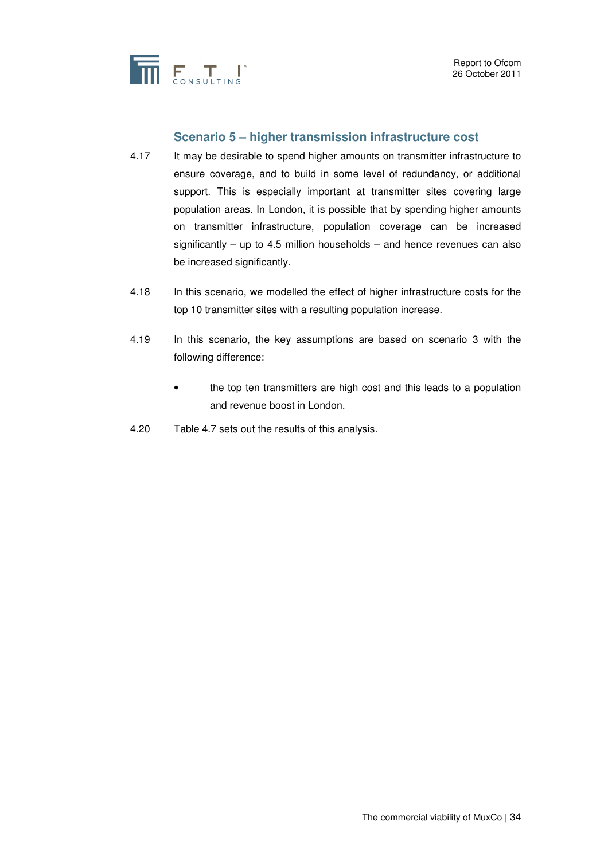

# **Scenario 5 – higher transmission infrastructure cost**

- 4.17 It may be desirable to spend higher amounts on transmitter infrastructure to ensure coverage, and to build in some level of redundancy, or additional support. This is especially important at transmitter sites covering large population areas. In London, it is possible that by spending higher amounts on transmitter infrastructure, population coverage can be increased significantly – up to 4.5 million households – and hence revenues can also be increased significantly.
- 4.18 In this scenario, we modelled the effect of higher infrastructure costs for the top 10 transmitter sites with a resulting population increase.
- 4.19 In this scenario, the key assumptions are based on scenario 3 with the following difference:
	- the top ten transmitters are high cost and this leads to a population and revenue boost in London.
- 4.20 Table 4.7 sets out the results of this analysis.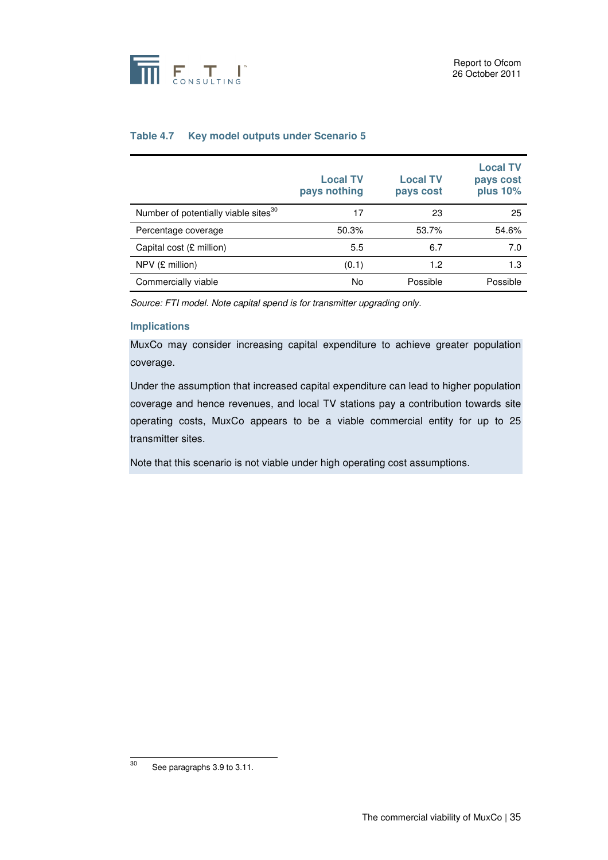

#### **Table 4.7 Key model outputs under Scenario 5**

|                                                  | <b>Local TV</b><br>pays nothing | <b>Local TV</b><br>pays cost | <b>Local TV</b><br>pays cost<br>plus 10% |
|--------------------------------------------------|---------------------------------|------------------------------|------------------------------------------|
| Number of potentially viable sites <sup>30</sup> | 17                              | 23                           | 25                                       |
| Percentage coverage                              | 50.3%                           | 53.7%                        | 54.6%                                    |
| Capital cost (£ million)                         | 5.5                             | 6.7                          | 7.0                                      |
| $NPV$ (£ million)                                | (0.1)                           | 1.2                          | 1.3                                      |
| Commercially viable                              | No                              | Possible                     | Possible                                 |

Source: FTI model. Note capital spend is for transmitter upgrading only.

#### **Implications**

MuxCo may consider increasing capital expenditure to achieve greater population coverage.

Under the assumption that increased capital expenditure can lead to higher population coverage and hence revenues, and local TV stations pay a contribution towards site operating costs, MuxCo appears to be a viable commercial entity for up to 25 transmitter sites.

Note that this scenario is not viable under high operating cost assumptions.

 $30$ See paragraphs 3.9 to 3.11.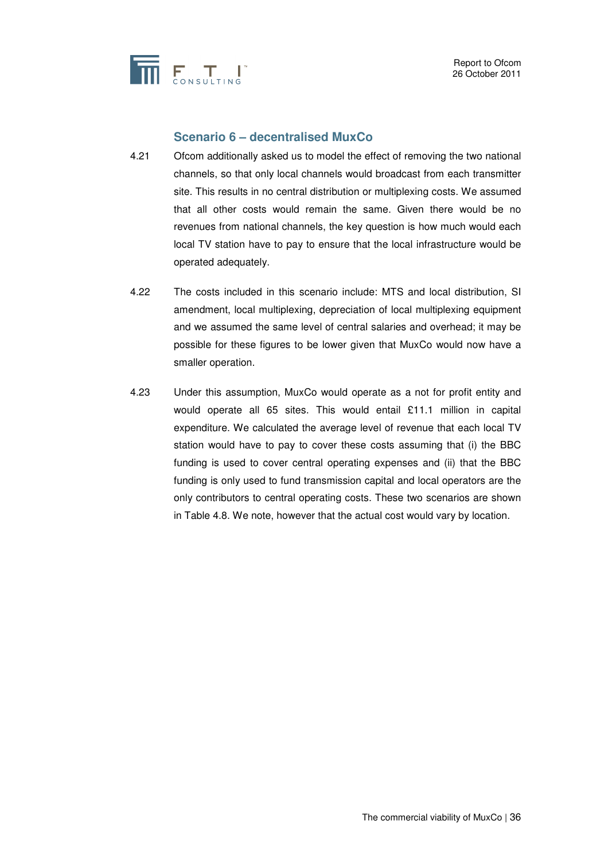

### **Scenario 6 – decentralised MuxCo**

- 4.21 Ofcom additionally asked us to model the effect of removing the two national channels, so that only local channels would broadcast from each transmitter site. This results in no central distribution or multiplexing costs. We assumed that all other costs would remain the same. Given there would be no revenues from national channels, the key question is how much would each local TV station have to pay to ensure that the local infrastructure would be operated adequately.
- 4.22 The costs included in this scenario include: MTS and local distribution, SI amendment, local multiplexing, depreciation of local multiplexing equipment and we assumed the same level of central salaries and overhead; it may be possible for these figures to be lower given that MuxCo would now have a smaller operation.
- 4.23 Under this assumption, MuxCo would operate as a not for profit entity and would operate all 65 sites. This would entail £11.1 million in capital expenditure. We calculated the average level of revenue that each local TV station would have to pay to cover these costs assuming that (i) the BBC funding is used to cover central operating expenses and (ii) that the BBC funding is only used to fund transmission capital and local operators are the only contributors to central operating costs. These two scenarios are shown in Table 4.8. We note, however that the actual cost would vary by location.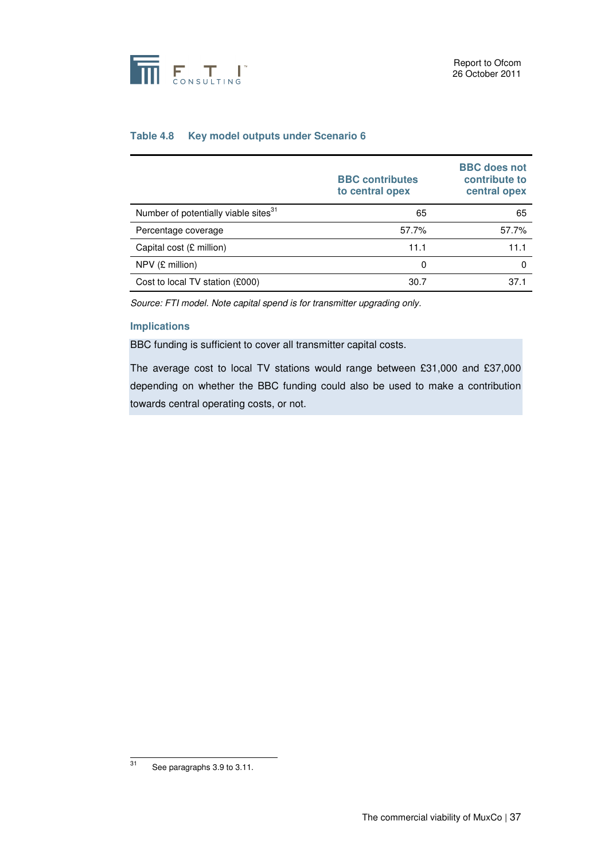

#### **Table 4.8 Key model outputs under Scenario 6**

|                                                  | <b>BBC contributes</b><br>to central opex | <b>BBC</b> does not<br>contribute to<br>central opex |
|--------------------------------------------------|-------------------------------------------|------------------------------------------------------|
| Number of potentially viable sites <sup>31</sup> | 65                                        | 65                                                   |
| Percentage coverage                              | 57.7%                                     | 57.7%                                                |
| Capital cost $(E \text{ million})$               | 11.1                                      | 11.1                                                 |
| $NPV$ (£ million)                                | 0                                         | 0                                                    |
| Cost to local TV station (£000)                  | 30.7                                      | 37.1                                                 |

Source: FTI model. Note capital spend is for transmitter upgrading only.

#### **Implications**

BBC funding is sufficient to cover all transmitter capital costs.

The average cost to local TV stations would range between £31,000 and £37,000 depending on whether the BBC funding could also be used to make a contribution towards central operating costs, or not.

 $31$ See paragraphs 3.9 to 3.11.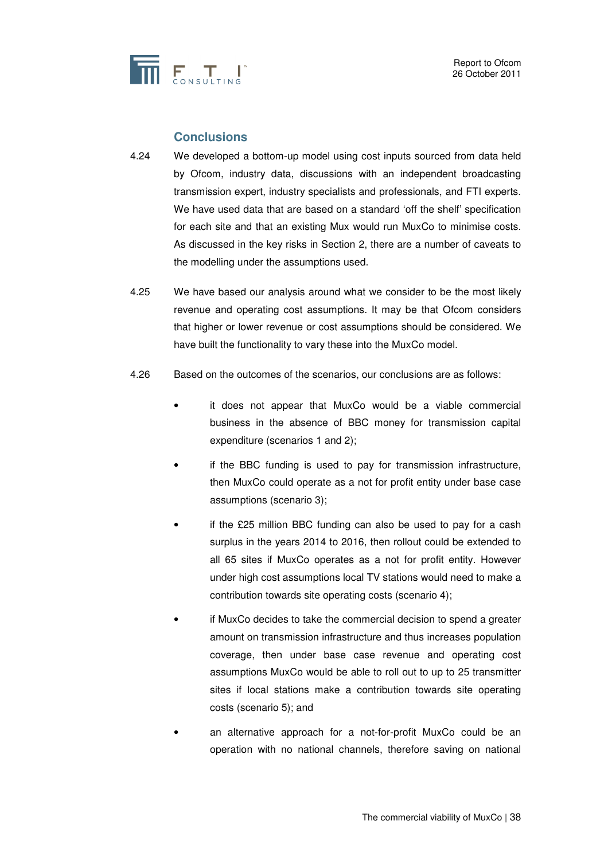

# **Conclusions**

- 4.24 We developed a bottom-up model using cost inputs sourced from data held by Ofcom, industry data, discussions with an independent broadcasting transmission expert, industry specialists and professionals, and FTI experts. We have used data that are based on a standard 'off the shelf' specification for each site and that an existing Mux would run MuxCo to minimise costs. As discussed in the key risks in Section 2, there are a number of caveats to the modelling under the assumptions used.
- 4.25 We have based our analysis around what we consider to be the most likely revenue and operating cost assumptions. It may be that Ofcom considers that higher or lower revenue or cost assumptions should be considered. We have built the functionality to vary these into the MuxCo model.
- 4.26 Based on the outcomes of the scenarios, our conclusions are as follows:
	- it does not appear that MuxCo would be a viable commercial business in the absence of BBC money for transmission capital expenditure (scenarios 1 and 2);
	- if the BBC funding is used to pay for transmission infrastructure, then MuxCo could operate as a not for profit entity under base case assumptions (scenario 3);
	- if the £25 million BBC funding can also be used to pay for a cash surplus in the years 2014 to 2016, then rollout could be extended to all 65 sites if MuxCo operates as a not for profit entity. However under high cost assumptions local TV stations would need to make a contribution towards site operating costs (scenario 4);
	- if MuxCo decides to take the commercial decision to spend a greater amount on transmission infrastructure and thus increases population coverage, then under base case revenue and operating cost assumptions MuxCo would be able to roll out to up to 25 transmitter sites if local stations make a contribution towards site operating costs (scenario 5); and
	- an alternative approach for a not-for-profit MuxCo could be an operation with no national channels, therefore saving on national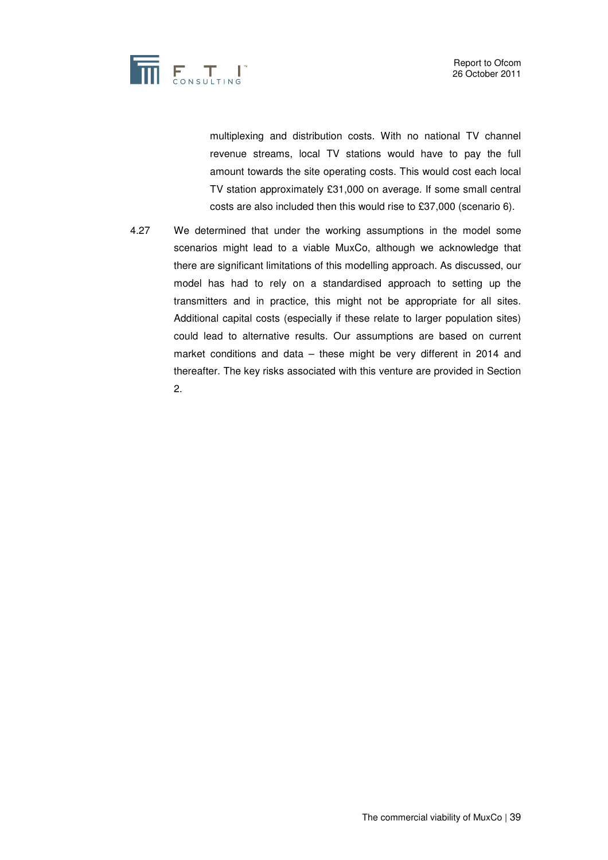

multiplexing and distribution costs. With no national TV channel revenue streams, local TV stations would have to pay the full amount towards the site operating costs. This would cost each local TV station approximately £31,000 on average. If some small central costs are also included then this would rise to £37,000 (scenario 6).

4.27 We determined that under the working assumptions in the model some scenarios might lead to a viable MuxCo, although we acknowledge that there are significant limitations of this modelling approach. As discussed, our model has had to rely on a standardised approach to setting up the transmitters and in practice, this might not be appropriate for all sites. Additional capital costs (especially if these relate to larger population sites) could lead to alternative results. Our assumptions are based on current market conditions and data – these might be very different in 2014 and thereafter. The key risks associated with this venture are provided in Section 2.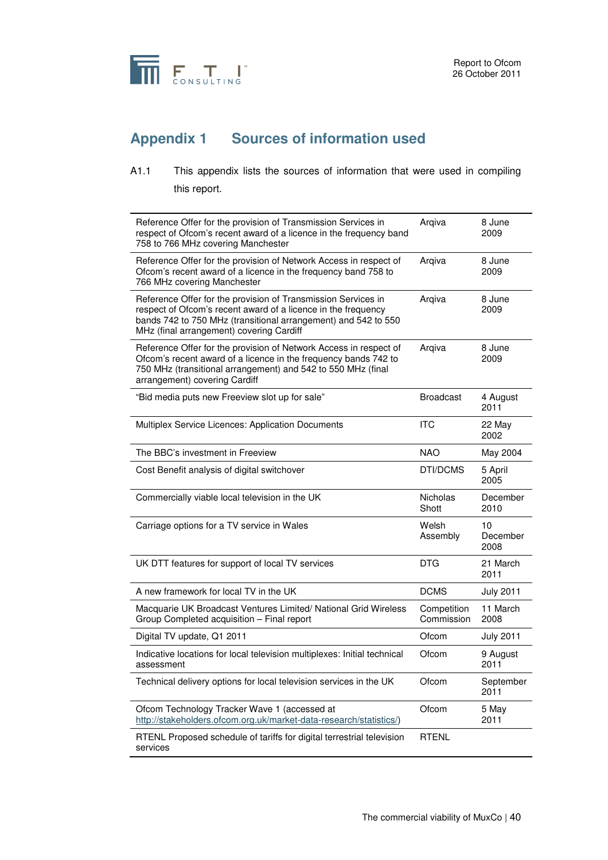

# **Appendix 1 Sources of information used**

# A1.1 This appendix lists the sources of information that were used in compiling this report.

| Reference Offer for the provision of Transmission Services in<br>respect of Ofcom's recent award of a licence in the frequency band<br>758 to 766 MHz covering Manchester                                                                    | Arqiva                    | 8 June<br>2009         |
|----------------------------------------------------------------------------------------------------------------------------------------------------------------------------------------------------------------------------------------------|---------------------------|------------------------|
| Reference Offer for the provision of Network Access in respect of<br>Ofcom's recent award of a licence in the frequency band 758 to<br>766 MHz covering Manchester                                                                           | Argiva                    | 8 June<br>2009         |
| Reference Offer for the provision of Transmission Services in<br>respect of Ofcom's recent award of a licence in the frequency<br>bands 742 to 750 MHz (transitional arrangement) and 542 to 550<br>MHz (final arrangement) covering Cardiff | Argiva                    | 8 June<br>2009         |
| Reference Offer for the provision of Network Access in respect of<br>Ofcom's recent award of a licence in the frequency bands 742 to<br>750 MHz (transitional arrangement) and 542 to 550 MHz (final<br>arrangement) covering Cardiff        | Argiva                    | 8 June<br>2009         |
| "Bid media puts new Freeview slot up for sale"                                                                                                                                                                                               | <b>Broadcast</b>          | 4 August<br>2011       |
| Multiplex Service Licences: Application Documents                                                                                                                                                                                            | <b>ITC</b>                | 22 May<br>2002         |
| The BBC's investment in Freeview                                                                                                                                                                                                             | <b>NAO</b>                | May 2004               |
| Cost Benefit analysis of digital switchover                                                                                                                                                                                                  | DTI/DCMS                  | 5 April<br>2005        |
| Commercially viable local television in the UK                                                                                                                                                                                               | <b>Nicholas</b><br>Shott  | December<br>2010       |
| Carriage options for a TV service in Wales                                                                                                                                                                                                   | Welsh<br>Assembly         | 10<br>December<br>2008 |
| UK DTT features for support of local TV services                                                                                                                                                                                             | DTG                       | 21 March<br>2011       |
| A new framework for local TV in the UK                                                                                                                                                                                                       | <b>DCMS</b>               | <b>July 2011</b>       |
| Macquarie UK Broadcast Ventures Limited/ National Grid Wireless<br>Group Completed acquisition - Final report                                                                                                                                | Competition<br>Commission | 11 March<br>2008       |
| Digital TV update, Q1 2011                                                                                                                                                                                                                   | Ofcom                     | <b>July 2011</b>       |
| Indicative locations for local television multiplexes: Initial technical<br>assessment                                                                                                                                                       | Ofcom                     | 9 August<br>2011       |
| Technical delivery options for local television services in the UK                                                                                                                                                                           | Ofcom                     | September<br>2011      |
| Ofcom Technology Tracker Wave 1 (accessed at<br>http://stakeholders.ofcom.org.uk/market-data-research/statistics/)                                                                                                                           | Ofcom                     | 5 May<br>2011          |
| RTENL Proposed schedule of tariffs for digital terrestrial television<br>services                                                                                                                                                            | <b>RTENL</b>              |                        |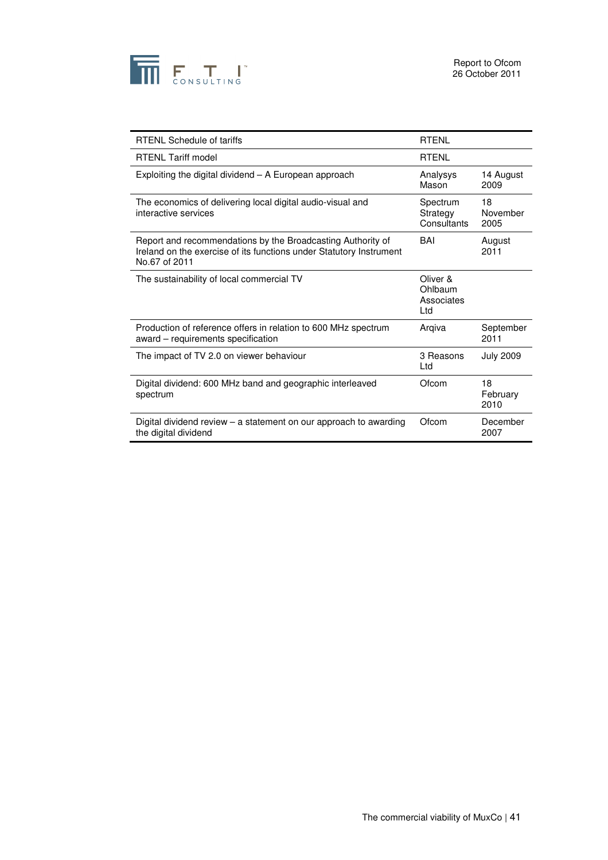

| <b>RTENL Schedule of tariffs</b>                                                                                                                    | <b>RTENL</b>                             |                        |
|-----------------------------------------------------------------------------------------------------------------------------------------------------|------------------------------------------|------------------------|
| <b>RTENL Tariff model</b>                                                                                                                           | <b>RTENL</b>                             |                        |
| Exploiting the digital dividend – A European approach                                                                                               | Analysys<br>Mason                        | 14 August<br>2009      |
| The economics of delivering local digital audio-visual and<br>interactive services                                                                  | Spectrum<br>Strategy<br>Consultants      | 18<br>November<br>2005 |
| Report and recommendations by the Broadcasting Authority of<br>Ireland on the exercise of its functions under Statutory Instrument<br>No.67 of 2011 | BAI                                      | August<br>2011         |
| The sustainability of local commercial TV                                                                                                           | Oliver &<br>Ohlbaum<br>Associates<br>Ltd |                        |
| Production of reference offers in relation to 600 MHz spectrum<br>award - requirements specification                                                | Argiva                                   | September<br>2011      |
| The impact of TV 2.0 on viewer behaviour                                                                                                            | 3 Reasons<br>Ltd                         | <b>July 2009</b>       |
| Digital dividend: 600 MHz band and geographic interleaved<br>spectrum                                                                               | Ofcom                                    | 18<br>February<br>2010 |
| Digital dividend review $-$ a statement on our approach to awarding<br>the digital dividend                                                         | Ofcom                                    | December<br>2007       |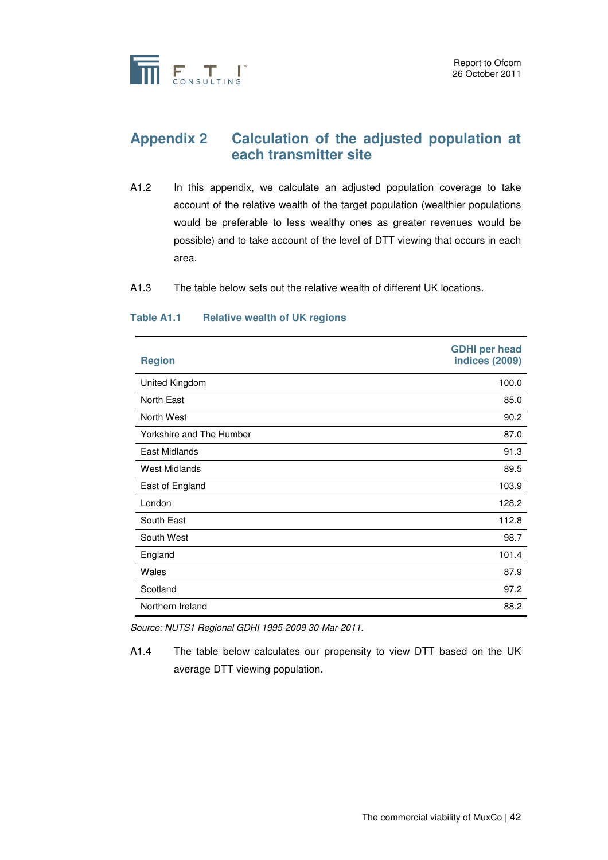

# **Appendix 2 Calculation of the adjusted population at each transmitter site**

- A1.2 In this appendix, we calculate an adjusted population coverage to take account of the relative wealth of the target population (wealthier populations would be preferable to less wealthy ones as greater revenues would be possible) and to take account of the level of DTT viewing that occurs in each area.
- A1.3 The table below sets out the relative wealth of different UK locations.

#### **Table A1.1 Relative wealth of UK regions**

| <b>Region</b>            | <b>GDHI</b> per head<br><b>indices (2009)</b> |
|--------------------------|-----------------------------------------------|
| United Kingdom           | 100.0                                         |
| North East               | 85.0                                          |
| North West               | 90.2                                          |
| Yorkshire and The Humber | 87.0                                          |
| East Midlands            | 91.3                                          |
| <b>West Midlands</b>     | 89.5                                          |
| East of England          | 103.9                                         |
| London                   | 128.2                                         |
| South East               | 112.8                                         |
| South West               | 98.7                                          |
| England                  | 101.4                                         |
| Wales                    | 87.9                                          |
| Scotland                 | 97.2                                          |
| Northern Ireland         | 88.2                                          |

Source: NUTS1 Regional GDHI 1995-2009 30-Mar-2011.

A1.4 The table below calculates our propensity to view DTT based on the UK average DTT viewing population.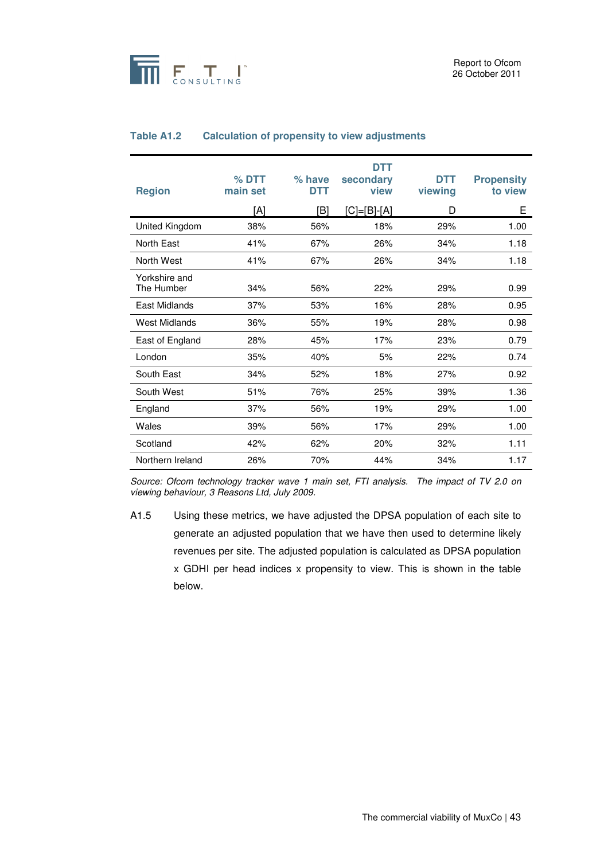

| <b>Region</b>               | $%$ DTT<br>main set | % have<br>DTT | <b>DTT</b><br>secondary<br>view | DTT<br>viewing | <b>Propensity</b><br>to view |
|-----------------------------|---------------------|---------------|---------------------------------|----------------|------------------------------|
|                             | [A]                 | [B]           | [C]=[B]-[A]                     | D              | Е                            |
| United Kingdom              | 38%                 | 56%           | 18%                             | 29%            | 1.00                         |
| North East                  | 41%                 | 67%           | 26%                             | 34%            | 1.18                         |
| North West                  | 41%                 | 67%           | 26%                             | 34%            | 1.18                         |
| Yorkshire and<br>The Humber | 34%                 | 56%           | 22%                             | 29%            | 0.99                         |
| East Midlands               | 37%                 | 53%           | 16%                             | 28%            | 0.95                         |
| West Midlands               | 36%                 | 55%           | 19%                             | 28%            | 0.98                         |
| East of England             | 28%                 | 45%           | 17%                             | 23%            | 0.79                         |
| London                      | 35%                 | 40%           | 5%                              | 22%            | 0.74                         |
| South East                  | 34%                 | 52%           | 18%                             | 27%            | 0.92                         |
| South West                  | 51%                 | 76%           | 25%                             | 39%            | 1.36                         |
| England                     | 37%                 | 56%           | 19%                             | 29%            | 1.00                         |
| Wales                       | 39%                 | 56%           | 17%                             | 29%            | 1.00                         |
| Scotland                    | 42%                 | 62%           | 20%                             | 32%            | 1.11                         |
| Northern Ireland            | 26%                 | 70%           | 44%                             | 34%            | 1.17                         |

#### **Table A1.2 Calculation of propensity to view adjustments**

Source: Ofcom technology tracker wave 1 main set, FTI analysis. The impact of TV 2.0 on viewing behaviour, 3 Reasons Ltd, July 2009.

A1.5 Using these metrics, we have adjusted the DPSA population of each site to generate an adjusted population that we have then used to determine likely revenues per site. The adjusted population is calculated as DPSA population x GDHI per head indices x propensity to view. This is shown in the table below.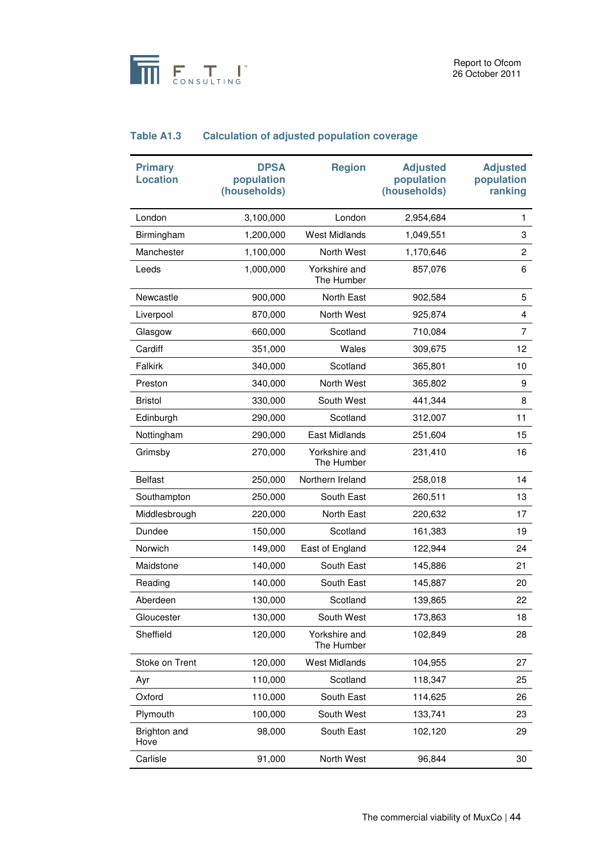

# **Table A1.3 Calculation of adjusted population coverage**

| <b>Primary</b><br><b>Location</b> | <b>DPSA</b><br>population<br>(households) | <b>Region</b>               | <b>Adjusted</b><br>population<br>(households) | <b>Adjusted</b><br>population<br>ranking |
|-----------------------------------|-------------------------------------------|-----------------------------|-----------------------------------------------|------------------------------------------|
| London                            | 3,100,000                                 | London                      | 2,954,684                                     | $\mathbf{1}$                             |
| Birmingham                        | 1,200,000                                 | <b>West Midlands</b>        | 1,049,551                                     | 3                                        |
| Manchester                        | 1,100,000                                 | North West                  | 1,170,646                                     | $\overline{c}$                           |
| Leeds                             | 1,000,000                                 | Yorkshire and<br>The Humber | 857,076                                       | 6                                        |
| Newcastle                         | 900,000                                   | North East                  | 902,584                                       | 5                                        |
| Liverpool                         | 870,000                                   | North West                  | 925,874                                       | 4                                        |
| Glasgow                           | 660,000                                   | Scotland                    | 710,084                                       | $\overline{7}$                           |
| Cardiff                           | 351,000                                   | Wales                       | 309,675                                       | 12                                       |
| Falkirk                           | 340,000                                   | Scotland                    | 365,801                                       | 10                                       |
| Preston                           | 340,000                                   | North West                  | 365,802                                       | 9                                        |
| <b>Bristol</b>                    | 330,000                                   | South West                  | 441,344                                       | 8                                        |
| Edinburgh                         | 290,000                                   | Scotland                    | 312,007                                       | 11                                       |
| Nottingham                        | 290,000                                   | <b>East Midlands</b>        | 251,604                                       | 15                                       |
| Grimsby                           | 270,000                                   | Yorkshire and<br>The Humber | 231,410                                       | 16                                       |
| <b>Belfast</b>                    | 250,000                                   | Northern Ireland            | 258,018                                       | 14                                       |
| Southampton                       | 250,000                                   | South East                  | 260,511                                       | 13                                       |
| Middlesbrough                     | 220,000                                   | North East                  | 220,632                                       | 17                                       |
| Dundee                            | 150,000                                   | Scotland                    | 161,383                                       | 19                                       |
| Norwich                           | 149,000                                   | East of England             | 122,944                                       | 24                                       |
| Maidstone                         | 140,000                                   | South East                  | 145,886                                       | 21                                       |
| Reading                           | 140,000                                   | South East                  | 145,887                                       | 20                                       |
| Aberdeen                          | 130,000                                   | Scotland                    | 139,865                                       | 22                                       |
| Gloucester                        | 130,000                                   | South West                  | 173,863                                       | 18                                       |
| Sheffield                         | 120,000                                   | Yorkshire and<br>The Humber | 102,849                                       | 28                                       |
| Stoke on Trent                    | 120,000                                   | <b>West Midlands</b>        | 104,955                                       | 27                                       |
| Ayr                               | 110,000                                   | Scotland                    | 118,347                                       | 25                                       |
| Oxford                            | 110,000                                   | South East                  | 114,625                                       | 26                                       |
| Plymouth                          | 100,000                                   | South West                  | 133,741                                       | 23                                       |
| Brighton and<br>Hove              | 98,000                                    | South East                  | 102,120                                       | 29                                       |
| Carlisle                          | 91,000                                    | North West                  | 96,844                                        | 30                                       |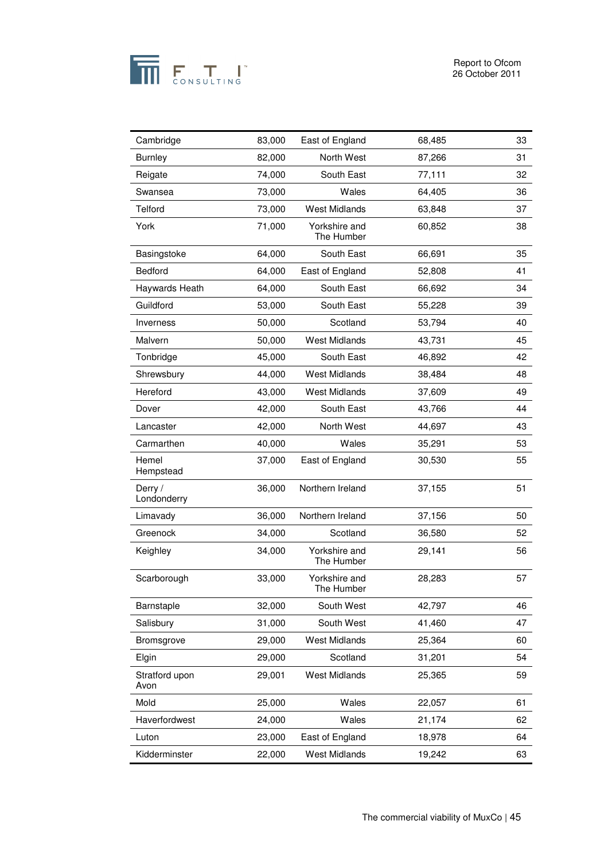

| Cambridge              | 83,000 | East of England             | 68,485 | 33 |
|------------------------|--------|-----------------------------|--------|----|
| <b>Burnley</b>         | 82,000 | North West                  | 87,266 | 31 |
| Reigate                | 74,000 | South East                  | 77,111 | 32 |
| Swansea                | 73,000 | Wales                       | 64,405 | 36 |
| Telford                | 73,000 | <b>West Midlands</b>        | 63,848 | 37 |
| York                   | 71,000 | Yorkshire and<br>The Humber | 60,852 | 38 |
| Basingstoke            | 64,000 | South East                  | 66,691 | 35 |
| Bedford                | 64,000 | East of England             | 52,808 | 41 |
| Haywards Heath         | 64,000 | South East                  | 66,692 | 34 |
| Guildford              | 53,000 | South East                  | 55,228 | 39 |
| Inverness              | 50,000 | Scotland                    | 53,794 | 40 |
| Malvern                | 50,000 | <b>West Midlands</b>        | 43,731 | 45 |
| Tonbridge              | 45,000 | South East                  | 46,892 | 42 |
| Shrewsbury             | 44,000 | <b>West Midlands</b>        | 38,484 | 48 |
| Hereford               | 43,000 | <b>West Midlands</b>        | 37,609 | 49 |
| Dover                  | 42,000 | South East                  | 43,766 | 44 |
| Lancaster              | 42,000 | North West                  | 44,697 | 43 |
| Carmarthen             | 40,000 | Wales                       | 35,291 | 53 |
| Hemel<br>Hempstead     | 37,000 | East of England             | 30,530 | 55 |
| Derry /<br>Londonderry | 36,000 | Northern Ireland            | 37,155 | 51 |
| Limavady               | 36,000 | Northern Ireland            | 37,156 | 50 |
| Greenock               | 34,000 | Scotland                    | 36,580 | 52 |
| Keighley               | 34,000 | Yorkshire and<br>The Humber | 29,141 | 56 |
| Scarborough            | 33,000 | Yorkshire and<br>The Humber | 28,283 | 57 |
| Barnstaple             | 32,000 | South West                  | 42,797 | 46 |
| Salisbury              | 31,000 | South West                  | 41,460 | 47 |
| Bromsgrove             | 29,000 | <b>West Midlands</b>        | 25,364 | 60 |
| Elgin                  | 29,000 | Scotland                    | 31,201 | 54 |
| Stratford upon<br>Avon | 29,001 | <b>West Midlands</b>        | 25,365 | 59 |
| Mold                   | 25,000 | Wales                       | 22,057 | 61 |
| Haverfordwest          | 24,000 | Wales                       | 21,174 | 62 |
| Luton                  | 23,000 | East of England             | 18,978 | 64 |
| Kidderminster          | 22,000 | <b>West Midlands</b>        | 19,242 | 63 |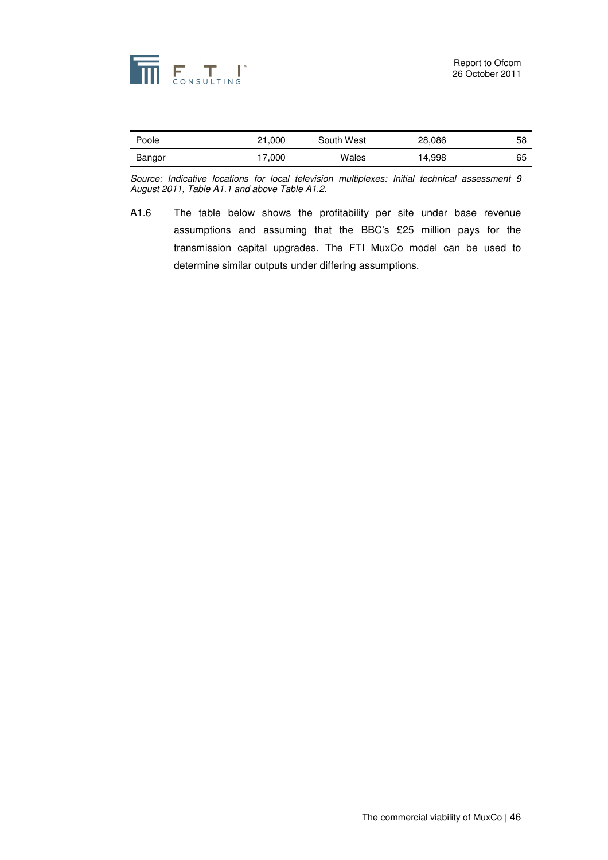

| Poole  | 21,000 | South West | 28,086 | 58 |
|--------|--------|------------|--------|----|
| Bangor | 17,000 | Wales      | 14.998 | 65 |

Source: Indicative locations for local television multiplexes: Initial technical assessment 9 August 2011, Table A1.1 and above Table A1.2.

A1.6 The table below shows the profitability per site under base revenue assumptions and assuming that the BBC's £25 million pays for the transmission capital upgrades. The FTI MuxCo model can be used to determine similar outputs under differing assumptions.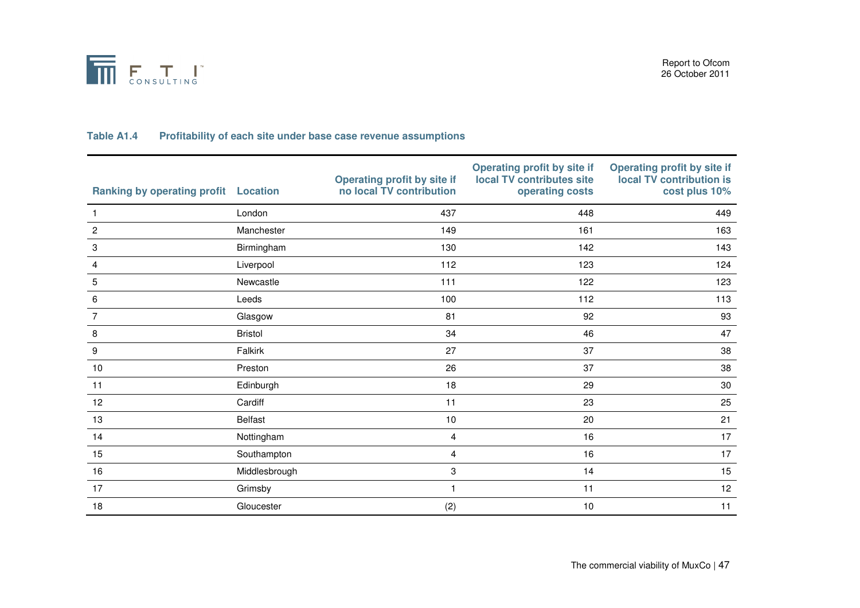

| <b>Ranking by operating profit</b> | <b>Location</b> | <b>Operating profit by site if</b><br>no local TV contribution | <b>Operating profit by site if</b><br>local TV contributes site<br>operating costs | <b>Operating profit by site if</b><br>local TV contribution is<br>cost plus 10% |
|------------------------------------|-----------------|----------------------------------------------------------------|------------------------------------------------------------------------------------|---------------------------------------------------------------------------------|
| 1                                  | London          | 437                                                            | 448                                                                                | 449                                                                             |
| $\overline{2}$                     | Manchester      | 149                                                            | 161                                                                                | 163                                                                             |
| 3                                  | Birmingham      | 130                                                            | 142                                                                                | 143                                                                             |
| 4                                  | Liverpool       | 112                                                            | 123                                                                                | 124                                                                             |
| 5                                  | Newcastle       | 111                                                            | 122                                                                                | 123                                                                             |
| 6                                  | Leeds           | 100                                                            | 112                                                                                | 113                                                                             |
| 7                                  | Glasgow         | 81                                                             | 92                                                                                 | 93                                                                              |
| 8                                  | <b>Bristol</b>  | 34                                                             | 46                                                                                 | 47                                                                              |
| 9                                  | Falkirk         | 27                                                             | 37                                                                                 | 38                                                                              |
| 10                                 | Preston         | 26                                                             | 37                                                                                 | 38                                                                              |
| 11                                 | Edinburgh       | 18                                                             | 29                                                                                 | 30                                                                              |
| 12                                 | Cardiff         | 11                                                             | 23                                                                                 | 25                                                                              |
| 13                                 | <b>Belfast</b>  | 10                                                             | 20                                                                                 | 21                                                                              |
| 14                                 | Nottingham      | 4                                                              | 16                                                                                 | 17                                                                              |
| 15                                 | Southampton     | 4                                                              | 16                                                                                 | 17                                                                              |
| 16                                 | Middlesbrough   | $\ensuremath{\mathsf{3}}$                                      | 14                                                                                 | 15                                                                              |
| 17                                 | Grimsby         | 1                                                              | 11                                                                                 | 12                                                                              |
| 18                                 | Gloucester      | (2)                                                            | 10                                                                                 | 11                                                                              |

### **Table A1.4 Profitability of each site under base case revenue assumptions**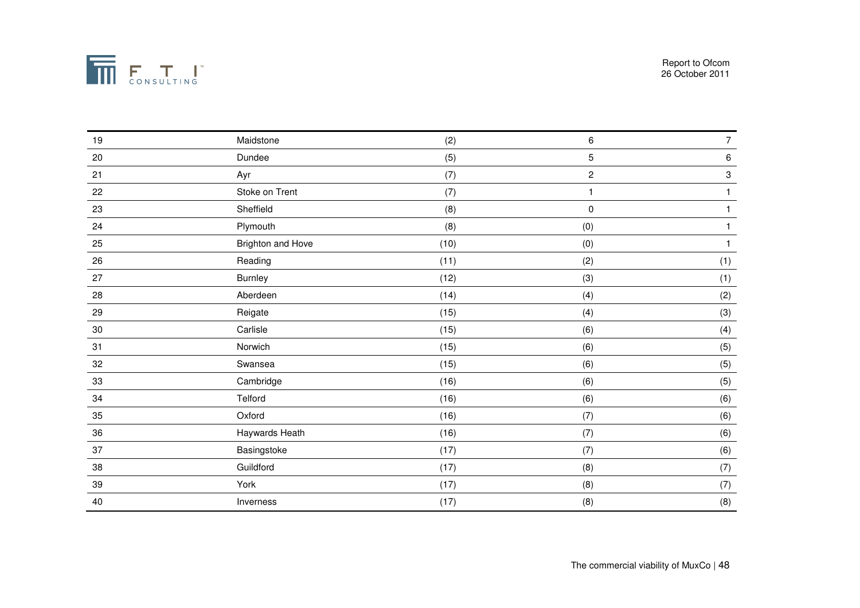

| 19     | Maidstone         | (2)  | 6              | $\overline{7}$            |
|--------|-------------------|------|----------------|---------------------------|
| 20     | Dundee            | (5)  | 5              | 6                         |
| 21     | Ayr               | (7)  | $\overline{c}$ | $\ensuremath{\mathsf{3}}$ |
| 22     | Stoke on Trent    | (7)  | 1              | 1                         |
| 23     | Sheffield         | (8)  | $\pmb{0}$      | 1                         |
| 24     | Plymouth          | (8)  | (0)            | 1                         |
| 25     | Brighton and Hove | (10) | (0)            | 1                         |
| 26     | Reading           | (11) | (2)            | (1)                       |
| 27     | Burnley           | (12) | (3)            | (1)                       |
| 28     | Aberdeen          | (14) | (4)            | (2)                       |
| 29     | Reigate           | (15) | (4)            | (3)                       |
| $30\,$ | Carlisle          | (15) | (6)            | (4)                       |
| 31     | Norwich           | (15) | (6)            | (5)                       |
| 32     | Swansea           | (15) | (6)            | (5)                       |
| 33     | Cambridge         | (16) | (6)            | (5)                       |
| 34     | Telford           | (16) | (6)            | (6)                       |
| 35     | Oxford            | (16) | (7)            | (6)                       |
| 36     | Haywards Heath    | (16) | (7)            | (6)                       |
| 37     | Basingstoke       | (17) | (7)            | (6)                       |
| 38     | Guildford         | (17) | (8)            | (7)                       |
| 39     | York              | (17) | (8)            | (7)                       |
| 40     | Inverness         | (17) | (8)            | (8)                       |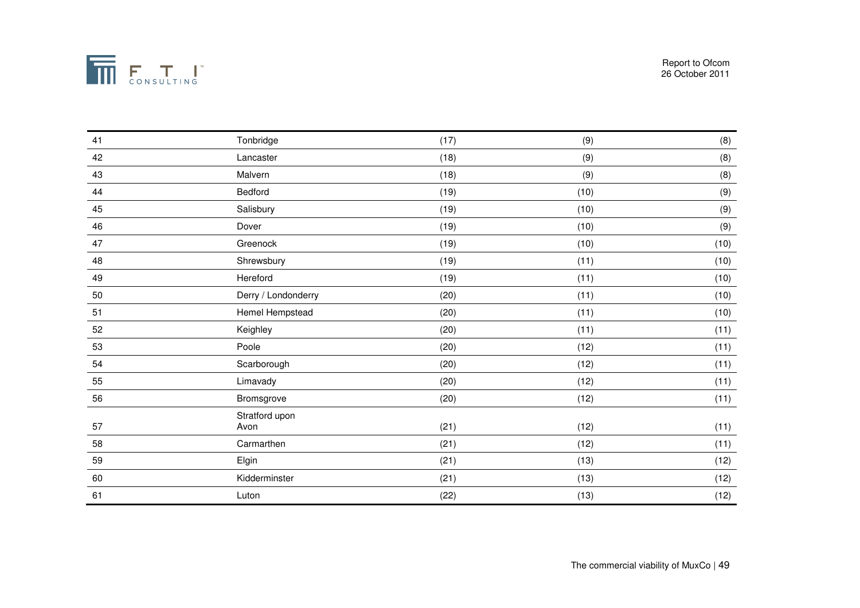

| 42<br>Lancaster<br>(18)<br>(9)<br>43<br>Malvern<br>(18)<br>(9)<br>44<br>Bedford<br>(10)<br>(19)<br>45<br>Salisbury<br>(19)<br>(10)<br>46<br>Dover<br>(10)<br>(19) | (8)<br>(8)<br>(9)<br>(9)<br>(9)<br>(10) |
|-------------------------------------------------------------------------------------------------------------------------------------------------------------------|-----------------------------------------|
|                                                                                                                                                                   |                                         |
|                                                                                                                                                                   |                                         |
|                                                                                                                                                                   |                                         |
|                                                                                                                                                                   |                                         |
|                                                                                                                                                                   |                                         |
| 47<br>Greenock<br>(19)<br>(10)                                                                                                                                    |                                         |
| 48<br>Shrewsbury<br>(19)<br>(11)                                                                                                                                  | (10)                                    |
| Hereford<br>49<br>(19)<br>(11)                                                                                                                                    | (10)                                    |
| 50<br>Derry / Londonderry<br>(20)<br>(11)                                                                                                                         | (10)                                    |
| 51<br>Hemel Hempstead<br>(11)<br>(20)                                                                                                                             | (10)                                    |
| Keighley<br>52<br>(20)<br>(11)                                                                                                                                    | (11)                                    |
| 53<br>Poole<br>(20)<br>(12)                                                                                                                                       | (11)                                    |
| Scarborough<br>54<br>(12)<br>(20)                                                                                                                                 | (11)                                    |
| 55<br>Limavady<br>(20)<br>(12)                                                                                                                                    | (11)                                    |
| 56<br>Bromsgrove<br>(20)<br>(12)                                                                                                                                  | (11)                                    |
| Stratford upon<br>57<br>(21)<br>(12)<br>Avon                                                                                                                      | (11)                                    |
| Carmarthen<br>58<br>(21)<br>(12)                                                                                                                                  | (11)                                    |
| 59<br>(21)<br>Elgin<br>(13)                                                                                                                                       | (12)                                    |
| Kidderminster<br>60<br>(21)<br>(13)                                                                                                                               | (12)                                    |
| 61<br>(13)<br>Luton<br>(22)                                                                                                                                       | (12)                                    |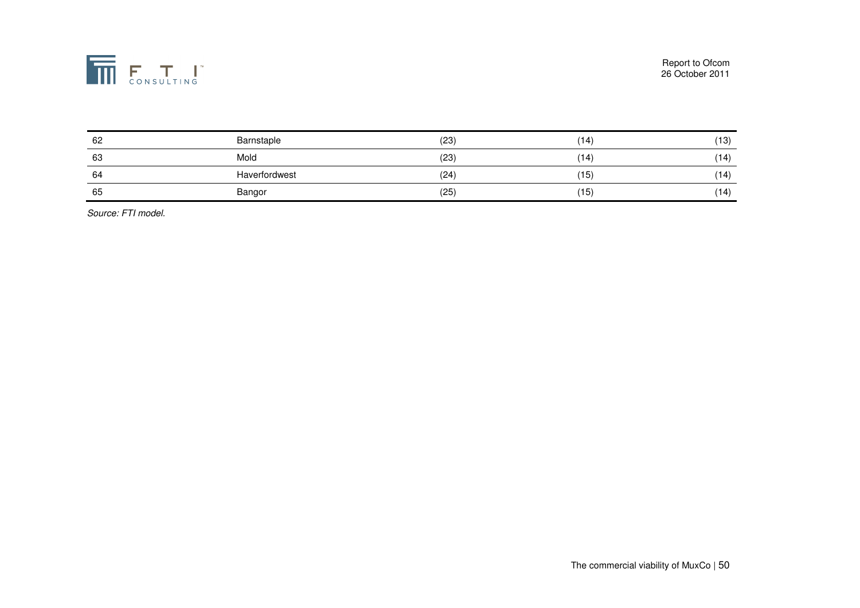

| 62 | Barnstaple    | (23) | 14   | (13) |
|----|---------------|------|------|------|
| 63 | Mold          | (23) | 14   | (14) |
| 64 | Haverfordwest | (24) | (15) | (14) |
| 65 | Bangor        | (25) | ו כו | (14) |

Source: FTI model.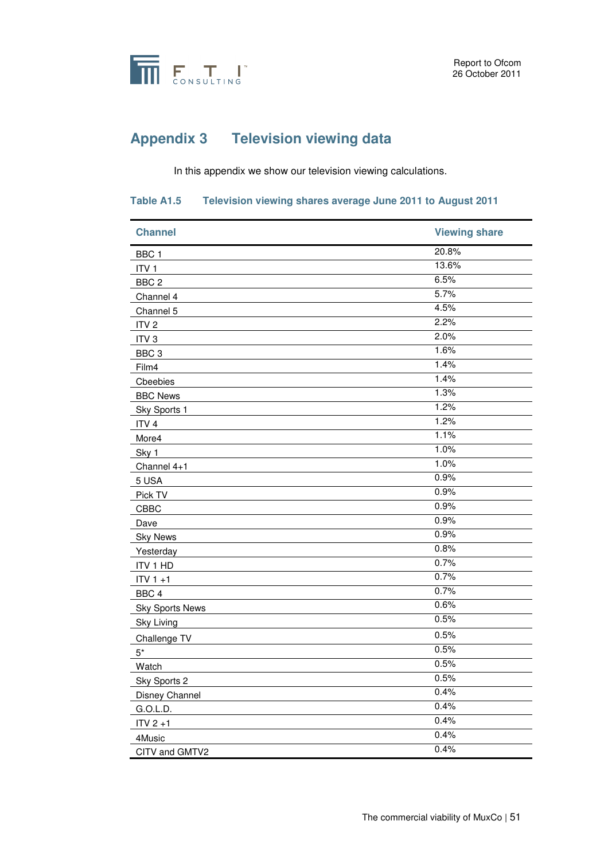

# **Appendix 3 Television viewing data**

In this appendix we show our television viewing calculations.

#### **Table A1.5 Television viewing shares average June 2011 to August 2011**

| <b>Channel</b>         | <b>Viewing share</b> |
|------------------------|----------------------|
| BBC <sub>1</sub>       | 20.8%                |
| ITV <sub>1</sub>       | 13.6%                |
| BBC <sub>2</sub>       | 6.5%                 |
| Channel 4              | 5.7%                 |
| Channel 5              | 4.5%                 |
| ITV <sub>2</sub>       | 2.2%                 |
| ITV <sub>3</sub>       | 2.0%                 |
| BBC <sub>3</sub>       | 1.6%                 |
| Film4                  | 1.4%                 |
| Cbeebies               | 1.4%                 |
| <b>BBC News</b>        | 1.3%                 |
| Sky Sports 1           | 1.2%                 |
| ITV <sub>4</sub>       | 1.2%                 |
| More4                  | 1.1%                 |
| Sky 1                  | 1.0%                 |
| Channel 4+1            | 1.0%                 |
| 5 USA                  | 0.9%                 |
| Pick TV                | 0.9%                 |
| CBBC                   | 0.9%                 |
| Dave                   | 0.9%                 |
| <b>Sky News</b>        | 0.9%                 |
| Yesterday              | 0.8%                 |
| ITV 1 HD               | 0.7%                 |
| $ITY 1 + 1$            | 0.7%                 |
| BBC <sub>4</sub>       | 0.7%                 |
| <b>Sky Sports News</b> | 0.6%                 |
| Sky Living             | 0.5%                 |
| Challenge TV           | 0.5%                 |
| $5^\star$              | 0.5%                 |
| Watch                  | 0.5%                 |
| Sky Sports 2           | 0.5%                 |
| Disney Channel         | 0.4%                 |
| G.O.L.D.               | 0.4%                 |
| $ITY 2 + 1$            | 0.4%                 |
| 4Music                 | 0.4%                 |
| CITV and GMTV2         | 0.4%                 |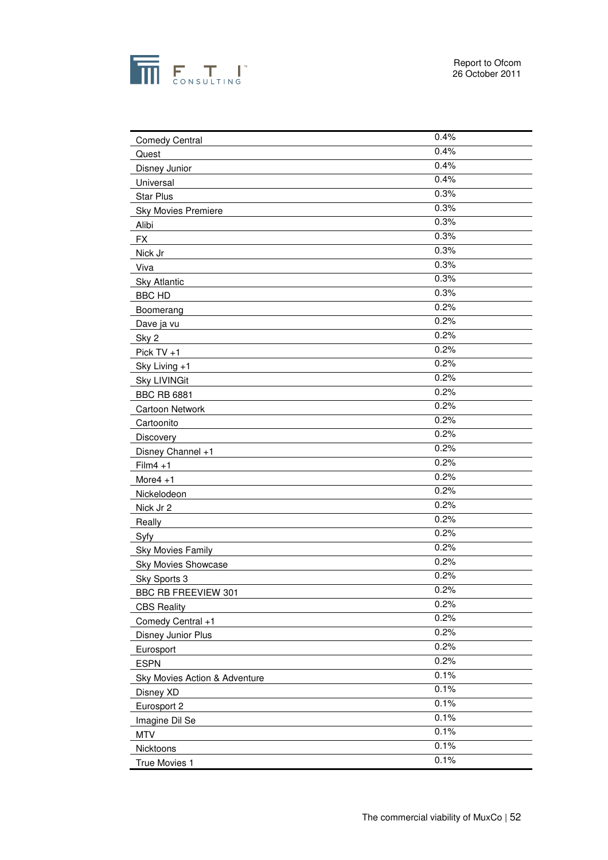

| 0.4%<br>Quest<br>0.4%<br>Disney Junior<br>0.4%<br>Universal<br>0.3%<br><b>Star Plus</b><br>0.3%<br><b>Sky Movies Premiere</b><br>0.3%<br>Alibi<br>0.3%<br><b>FX</b><br>0.3%<br>Nick Jr<br>0.3%<br>Viva<br>0.3%<br><b>Sky Atlantic</b><br>0.3%<br><b>BBC HD</b><br>0.2%<br>Boomerang<br>0.2%<br>Dave ja vu<br>0.2%<br>Sky 2<br>0.2%<br>Pick $TV + 1$<br>0.2%<br>Sky Living +1<br>0.2%<br><b>Sky LIVINGit</b><br>0.2%<br><b>BBC RB 6881</b><br>0.2%<br>Cartoon Network<br>0.2%<br>Cartoonito<br>0.2%<br>Discovery<br>0.2%<br>Disney Channel +1<br>0.2%<br>$Film4 + 1$<br>0.2%<br>More $4 + 1$<br>0.2%<br>Nickelodeon<br>0.2%<br>Nick Jr 2<br>0.2%<br>Really<br>0.2%<br>Syfy<br>0.2%<br><b>Sky Movies Family</b><br>0.2%<br><b>Sky Movies Showcase</b><br>0.2%<br>Sky Sports 3<br>0.2%<br>BBC RB FREEVIEW 301<br>0.2%<br><b>CBS Reality</b><br>0.2%<br>Comedy Central +1<br>0.2%<br>Disney Junior Plus<br>0.2%<br>Eurosport<br>0.2%<br><b>ESPN</b><br>0.1%<br>Sky Movies Action & Adventure<br>0.1%<br>Disney XD<br>0.1%<br>Eurosport 2<br>0.1%<br>Imagine Dil Se<br>0.1%<br><b>MTV</b><br>0.1%<br>Nicktoons<br>0.1%<br>True Movies 1 | <b>Comedy Central</b> | 0.4% |
|------------------------------------------------------------------------------------------------------------------------------------------------------------------------------------------------------------------------------------------------------------------------------------------------------------------------------------------------------------------------------------------------------------------------------------------------------------------------------------------------------------------------------------------------------------------------------------------------------------------------------------------------------------------------------------------------------------------------------------------------------------------------------------------------------------------------------------------------------------------------------------------------------------------------------------------------------------------------------------------------------------------------------------------------------------------------------------------------------------------------------------|-----------------------|------|
|                                                                                                                                                                                                                                                                                                                                                                                                                                                                                                                                                                                                                                                                                                                                                                                                                                                                                                                                                                                                                                                                                                                                    |                       |      |
|                                                                                                                                                                                                                                                                                                                                                                                                                                                                                                                                                                                                                                                                                                                                                                                                                                                                                                                                                                                                                                                                                                                                    |                       |      |
|                                                                                                                                                                                                                                                                                                                                                                                                                                                                                                                                                                                                                                                                                                                                                                                                                                                                                                                                                                                                                                                                                                                                    |                       |      |
|                                                                                                                                                                                                                                                                                                                                                                                                                                                                                                                                                                                                                                                                                                                                                                                                                                                                                                                                                                                                                                                                                                                                    |                       |      |
|                                                                                                                                                                                                                                                                                                                                                                                                                                                                                                                                                                                                                                                                                                                                                                                                                                                                                                                                                                                                                                                                                                                                    |                       |      |
|                                                                                                                                                                                                                                                                                                                                                                                                                                                                                                                                                                                                                                                                                                                                                                                                                                                                                                                                                                                                                                                                                                                                    |                       |      |
|                                                                                                                                                                                                                                                                                                                                                                                                                                                                                                                                                                                                                                                                                                                                                                                                                                                                                                                                                                                                                                                                                                                                    |                       |      |
|                                                                                                                                                                                                                                                                                                                                                                                                                                                                                                                                                                                                                                                                                                                                                                                                                                                                                                                                                                                                                                                                                                                                    |                       |      |
|                                                                                                                                                                                                                                                                                                                                                                                                                                                                                                                                                                                                                                                                                                                                                                                                                                                                                                                                                                                                                                                                                                                                    |                       |      |
|                                                                                                                                                                                                                                                                                                                                                                                                                                                                                                                                                                                                                                                                                                                                                                                                                                                                                                                                                                                                                                                                                                                                    |                       |      |
|                                                                                                                                                                                                                                                                                                                                                                                                                                                                                                                                                                                                                                                                                                                                                                                                                                                                                                                                                                                                                                                                                                                                    |                       |      |
|                                                                                                                                                                                                                                                                                                                                                                                                                                                                                                                                                                                                                                                                                                                                                                                                                                                                                                                                                                                                                                                                                                                                    |                       |      |
|                                                                                                                                                                                                                                                                                                                                                                                                                                                                                                                                                                                                                                                                                                                                                                                                                                                                                                                                                                                                                                                                                                                                    |                       |      |
|                                                                                                                                                                                                                                                                                                                                                                                                                                                                                                                                                                                                                                                                                                                                                                                                                                                                                                                                                                                                                                                                                                                                    |                       |      |
|                                                                                                                                                                                                                                                                                                                                                                                                                                                                                                                                                                                                                                                                                                                                                                                                                                                                                                                                                                                                                                                                                                                                    |                       |      |
|                                                                                                                                                                                                                                                                                                                                                                                                                                                                                                                                                                                                                                                                                                                                                                                                                                                                                                                                                                                                                                                                                                                                    |                       |      |
|                                                                                                                                                                                                                                                                                                                                                                                                                                                                                                                                                                                                                                                                                                                                                                                                                                                                                                                                                                                                                                                                                                                                    |                       |      |
|                                                                                                                                                                                                                                                                                                                                                                                                                                                                                                                                                                                                                                                                                                                                                                                                                                                                                                                                                                                                                                                                                                                                    |                       |      |
|                                                                                                                                                                                                                                                                                                                                                                                                                                                                                                                                                                                                                                                                                                                                                                                                                                                                                                                                                                                                                                                                                                                                    |                       |      |
|                                                                                                                                                                                                                                                                                                                                                                                                                                                                                                                                                                                                                                                                                                                                                                                                                                                                                                                                                                                                                                                                                                                                    |                       |      |
|                                                                                                                                                                                                                                                                                                                                                                                                                                                                                                                                                                                                                                                                                                                                                                                                                                                                                                                                                                                                                                                                                                                                    |                       |      |
|                                                                                                                                                                                                                                                                                                                                                                                                                                                                                                                                                                                                                                                                                                                                                                                                                                                                                                                                                                                                                                                                                                                                    |                       |      |
|                                                                                                                                                                                                                                                                                                                                                                                                                                                                                                                                                                                                                                                                                                                                                                                                                                                                                                                                                                                                                                                                                                                                    |                       |      |
|                                                                                                                                                                                                                                                                                                                                                                                                                                                                                                                                                                                                                                                                                                                                                                                                                                                                                                                                                                                                                                                                                                                                    |                       |      |
|                                                                                                                                                                                                                                                                                                                                                                                                                                                                                                                                                                                                                                                                                                                                                                                                                                                                                                                                                                                                                                                                                                                                    |                       |      |
|                                                                                                                                                                                                                                                                                                                                                                                                                                                                                                                                                                                                                                                                                                                                                                                                                                                                                                                                                                                                                                                                                                                                    |                       |      |
|                                                                                                                                                                                                                                                                                                                                                                                                                                                                                                                                                                                                                                                                                                                                                                                                                                                                                                                                                                                                                                                                                                                                    |                       |      |
|                                                                                                                                                                                                                                                                                                                                                                                                                                                                                                                                                                                                                                                                                                                                                                                                                                                                                                                                                                                                                                                                                                                                    |                       |      |
|                                                                                                                                                                                                                                                                                                                                                                                                                                                                                                                                                                                                                                                                                                                                                                                                                                                                                                                                                                                                                                                                                                                                    |                       |      |
|                                                                                                                                                                                                                                                                                                                                                                                                                                                                                                                                                                                                                                                                                                                                                                                                                                                                                                                                                                                                                                                                                                                                    |                       |      |
|                                                                                                                                                                                                                                                                                                                                                                                                                                                                                                                                                                                                                                                                                                                                                                                                                                                                                                                                                                                                                                                                                                                                    |                       |      |
|                                                                                                                                                                                                                                                                                                                                                                                                                                                                                                                                                                                                                                                                                                                                                                                                                                                                                                                                                                                                                                                                                                                                    |                       |      |
|                                                                                                                                                                                                                                                                                                                                                                                                                                                                                                                                                                                                                                                                                                                                                                                                                                                                                                                                                                                                                                                                                                                                    |                       |      |
|                                                                                                                                                                                                                                                                                                                                                                                                                                                                                                                                                                                                                                                                                                                                                                                                                                                                                                                                                                                                                                                                                                                                    |                       |      |
|                                                                                                                                                                                                                                                                                                                                                                                                                                                                                                                                                                                                                                                                                                                                                                                                                                                                                                                                                                                                                                                                                                                                    |                       |      |
|                                                                                                                                                                                                                                                                                                                                                                                                                                                                                                                                                                                                                                                                                                                                                                                                                                                                                                                                                                                                                                                                                                                                    |                       |      |
|                                                                                                                                                                                                                                                                                                                                                                                                                                                                                                                                                                                                                                                                                                                                                                                                                                                                                                                                                                                                                                                                                                                                    |                       |      |
|                                                                                                                                                                                                                                                                                                                                                                                                                                                                                                                                                                                                                                                                                                                                                                                                                                                                                                                                                                                                                                                                                                                                    |                       |      |
|                                                                                                                                                                                                                                                                                                                                                                                                                                                                                                                                                                                                                                                                                                                                                                                                                                                                                                                                                                                                                                                                                                                                    |                       |      |
|                                                                                                                                                                                                                                                                                                                                                                                                                                                                                                                                                                                                                                                                                                                                                                                                                                                                                                                                                                                                                                                                                                                                    |                       |      |
|                                                                                                                                                                                                                                                                                                                                                                                                                                                                                                                                                                                                                                                                                                                                                                                                                                                                                                                                                                                                                                                                                                                                    |                       |      |
|                                                                                                                                                                                                                                                                                                                                                                                                                                                                                                                                                                                                                                                                                                                                                                                                                                                                                                                                                                                                                                                                                                                                    |                       |      |
|                                                                                                                                                                                                                                                                                                                                                                                                                                                                                                                                                                                                                                                                                                                                                                                                                                                                                                                                                                                                                                                                                                                                    |                       |      |
|                                                                                                                                                                                                                                                                                                                                                                                                                                                                                                                                                                                                                                                                                                                                                                                                                                                                                                                                                                                                                                                                                                                                    |                       |      |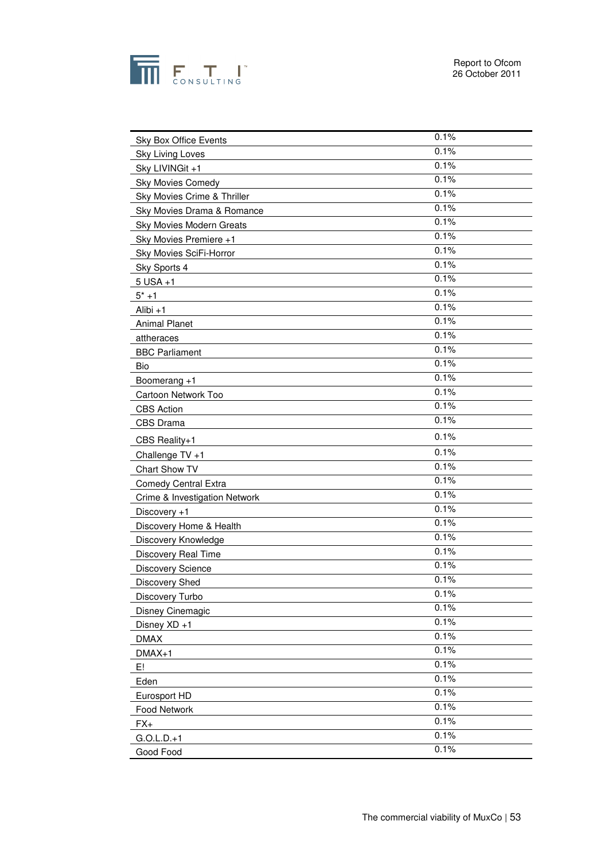

| Sky Box Office Events         | 0.1%         |
|-------------------------------|--------------|
| <b>Sky Living Loves</b>       | 0.1%         |
| Sky LIVINGit +1               | 0.1%         |
| <b>Sky Movies Comedy</b>      | 0.1%         |
| Sky Movies Crime & Thriller   | 0.1%         |
| Sky Movies Drama & Romance    | 0.1%         |
| Sky Movies Modern Greats      | 0.1%         |
| Sky Movies Premiere +1        | 0.1%         |
| Sky Movies SciFi-Horror       | 0.1%         |
| Sky Sports 4                  | 0.1%         |
| $5$ USA $+1$                  | 0.1%         |
| $5* + 1$                      | 0.1%         |
| Alibi +1                      | 0.1%         |
| <b>Animal Planet</b>          | 0.1%         |
| attheraces                    | 0.1%         |
| <b>BBC Parliament</b>         | 0.1%         |
| Bio                           | 0.1%         |
| Boomerang +1                  | 0.1%         |
| Cartoon Network Too           | 0.1%         |
| <b>CBS Action</b>             | 0.1%         |
| <b>CBS</b> Drama              | 0.1%         |
|                               | 0.1%         |
| CBS Reality+1                 |              |
| Challenge $TV +1$             | 0.1%         |
| Chart Show TV                 | 0.1%         |
| <b>Comedy Central Extra</b>   | 0.1%         |
| Crime & Investigation Network | 0.1%         |
| Discovery +1                  | 0.1%         |
| Discovery Home & Health       | 0.1%         |
| Discovery Knowledge           | 0.1%         |
| <b>Discovery Real Time</b>    | 0.1%         |
| <b>Discovery Science</b>      | 0.1%         |
| Discovery Shed                | 0.1%         |
| Discovery Turbo               | 0.1%         |
| Disney Cinemagic              | 0.1%         |
| Disney XD +1                  | 0.1%         |
| <b>DMAX</b>                   | 0.1%         |
| $DMAX+1$                      | 0.1%         |
| E!                            | 0.1%         |
| Eden                          | 0.1%         |
| Eurosport HD                  | 0.1%         |
| Food Network                  | 0.1%         |
| $FX+$                         | 0.1%         |
| $G.O.L.D.+1$                  | 0.1%<br>0.1% |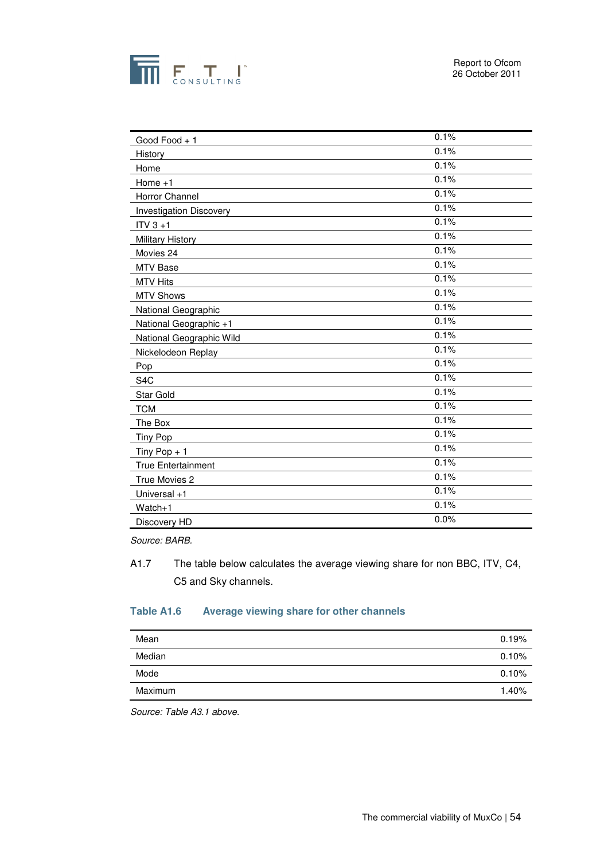

| Good Food + 1                  | 0.1% |
|--------------------------------|------|
| History                        | 0.1% |
| Home                           | 0.1% |
| Home $+1$                      | 0.1% |
| Horror Channel                 | 0.1% |
| <b>Investigation Discovery</b> | 0.1% |
| $ITY 3 + 1$                    | 0.1% |
| <b>Military History</b>        | 0.1% |
| Movies 24                      | 0.1% |
| MTV Base                       | 0.1% |
| <b>MTV Hits</b>                | 0.1% |
| <b>MTV Shows</b>               | 0.1% |
| National Geographic            | 0.1% |
| National Geographic +1         | 0.1% |
| National Geographic Wild       | 0.1% |
| Nickelodeon Replay             | 0.1% |
| Pop                            | 0.1% |
| S <sub>4</sub> C               | 0.1% |
| Star Gold                      | 0.1% |
| <b>TCM</b>                     | 0.1% |
| The Box                        | 0.1% |
| <b>Tiny Pop</b>                | 0.1% |
| Tiny Pop $+1$                  | 0.1% |
| <b>True Entertainment</b>      | 0.1% |
| True Movies 2                  | 0.1% |
| Universal +1                   | 0.1% |
| Watch+1                        | 0.1% |
| Discovery HD                   | 0.0% |

Source: BARB.

A1.7 The table below calculates the average viewing share for non BBC, ITV, C4, C5 and Sky channels.

#### **Table A1.6 Average viewing share for other channels**

| Mean    | 0.19% |
|---------|-------|
| Median  | 0.10% |
| Mode    | 0.10% |
| Maximum | 1.40% |

Source: Table A3.1 above.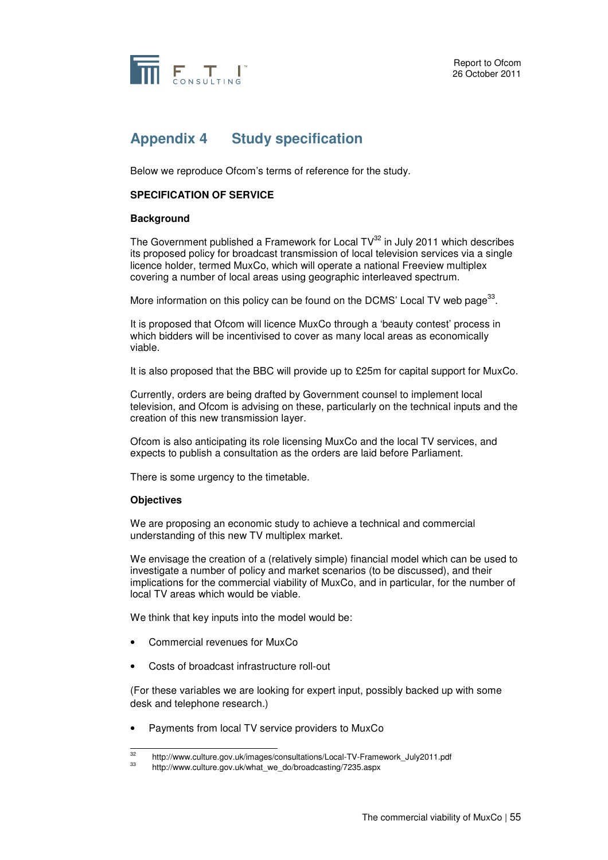

# **Appendix 4 Study specification**

Below we reproduce Ofcom's terms of reference for the study.

#### **SPECIFICATION OF SERVICE**

#### **Background**

The Government published a Framework for Local  $TV^{32}$  in July 2011 which describes its proposed policy for broadcast transmission of local television services via a single licence holder, termed MuxCo, which will operate a national Freeview multiplex covering a number of local areas using geographic interleaved spectrum.

More information on this policy can be found on the DCMS' Local TV web page<sup>33</sup>.

It is proposed that Ofcom will licence MuxCo through a 'beauty contest' process in which bidders will be incentivised to cover as many local areas as economically viable.

It is also proposed that the BBC will provide up to £25m for capital support for MuxCo.

Currently, orders are being drafted by Government counsel to implement local television, and Ofcom is advising on these, particularly on the technical inputs and the creation of this new transmission layer.

Ofcom is also anticipating its role licensing MuxCo and the local TV services, and expects to publish a consultation as the orders are laid before Parliament.

There is some urgency to the timetable.

#### **Objectives**

We are proposing an economic study to achieve a technical and commercial understanding of this new TV multiplex market.

We envisage the creation of a (relatively simple) financial model which can be used to investigate a number of policy and market scenarios (to be discussed), and their implications for the commercial viability of MuxCo, and in particular, for the number of local TV areas which would be viable.

We think that key inputs into the model would be:

- Commercial revenues for MuxCo
- Costs of broadcast infrastructure roll-out

(For these variables we are looking for expert input, possibly backed up with some desk and telephone research.)

• Payments from local TV service providers to MuxCo

 $32$ 32 http://www.culture.gov.uk/images/consultations/Local-TV-Framework\_July2011.pdf<br>33 http://www.culture.gov.uk/chat.gov.ala/hasadesetics/7995.sepp

http://www.culture.gov.uk/what\_we\_do/broadcasting/7235.aspx